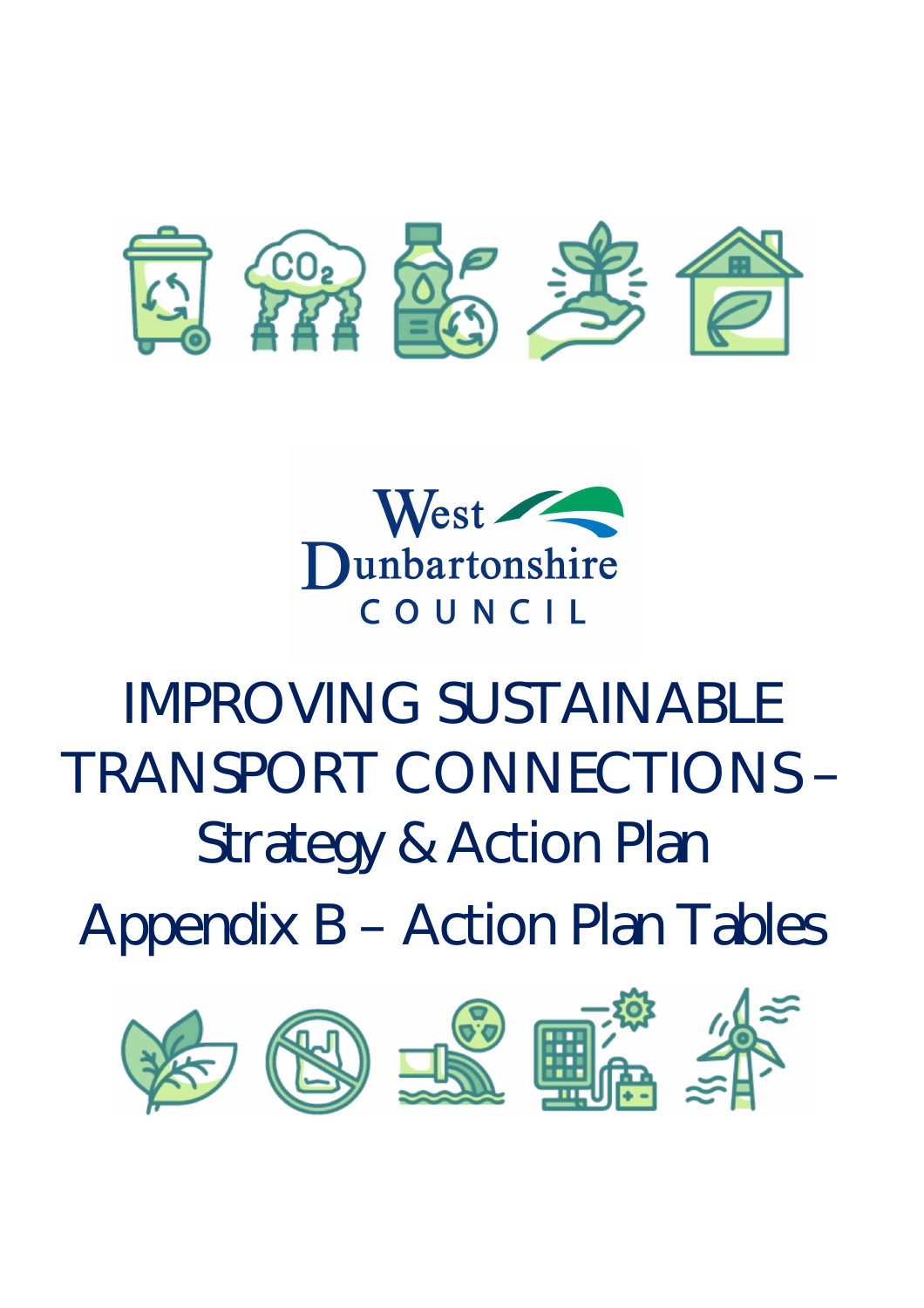



# IMPROVING SUSTAINABLE TRANSPORT CONNECTIONS – Strategy & Action Plan

Appendix B – Action Plan Tables

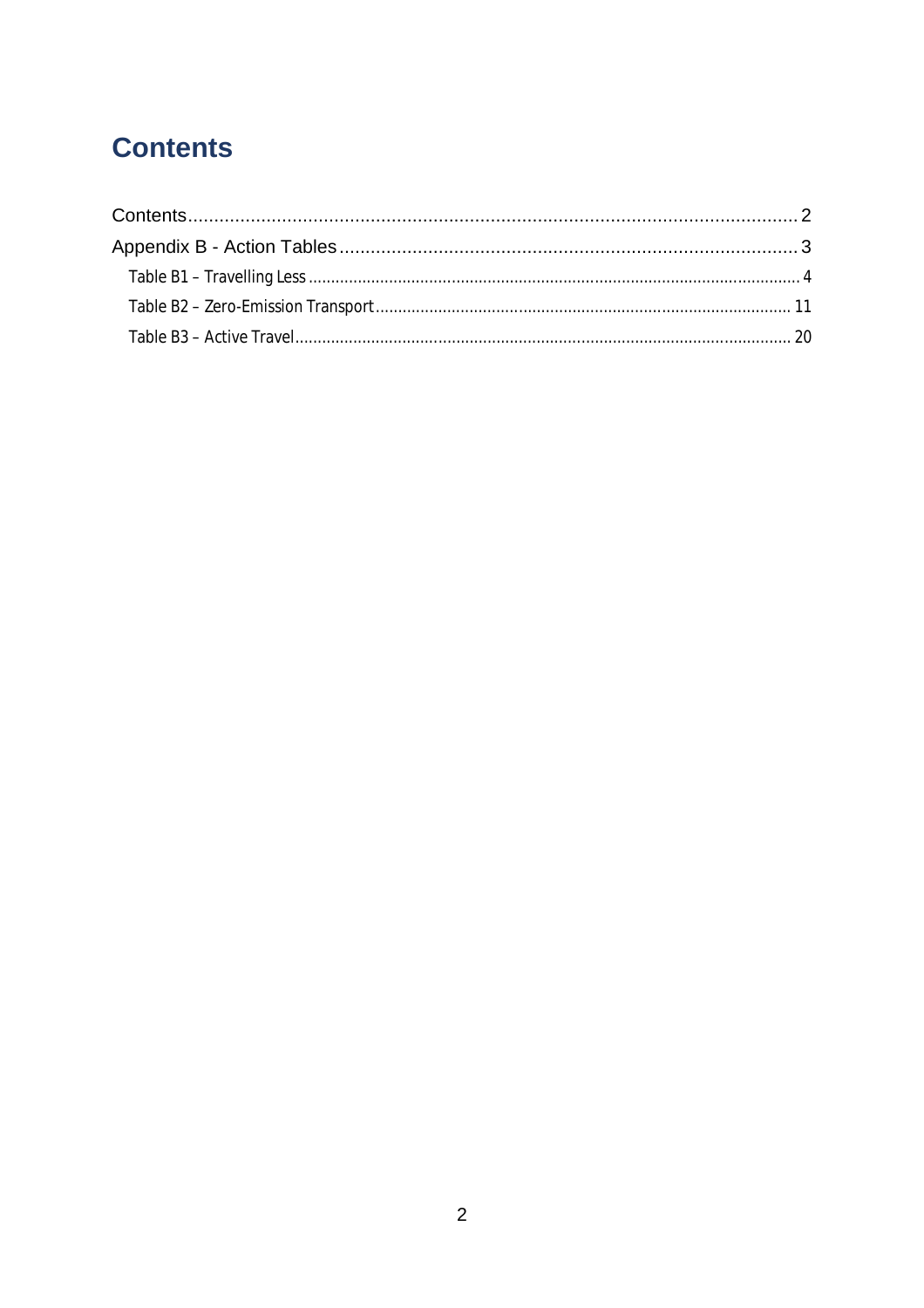## **Contents**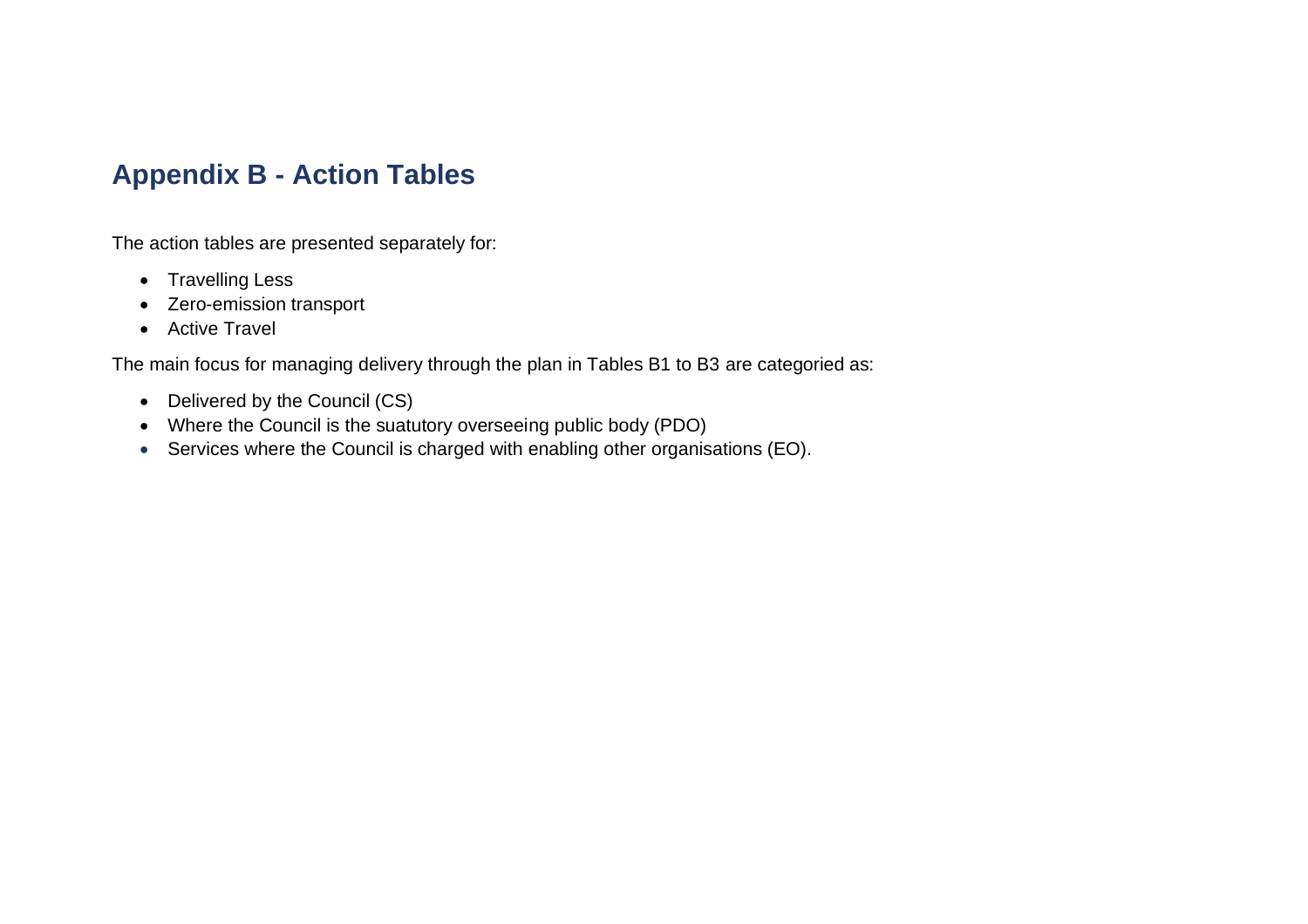### **Appendix B - Action Tables**

The action tables are presented separately for:

- Travelling Less
- Zero-emission transport
- Active Travel

The main focus for managing delivery through the plan in Tables B1 to B3 are categoried as:

- Delivered by the Council (CS)
- Where the Council is the suatutory overseeing public body (PDO)
- Services where the Council is charged with enabling other organisations (EO).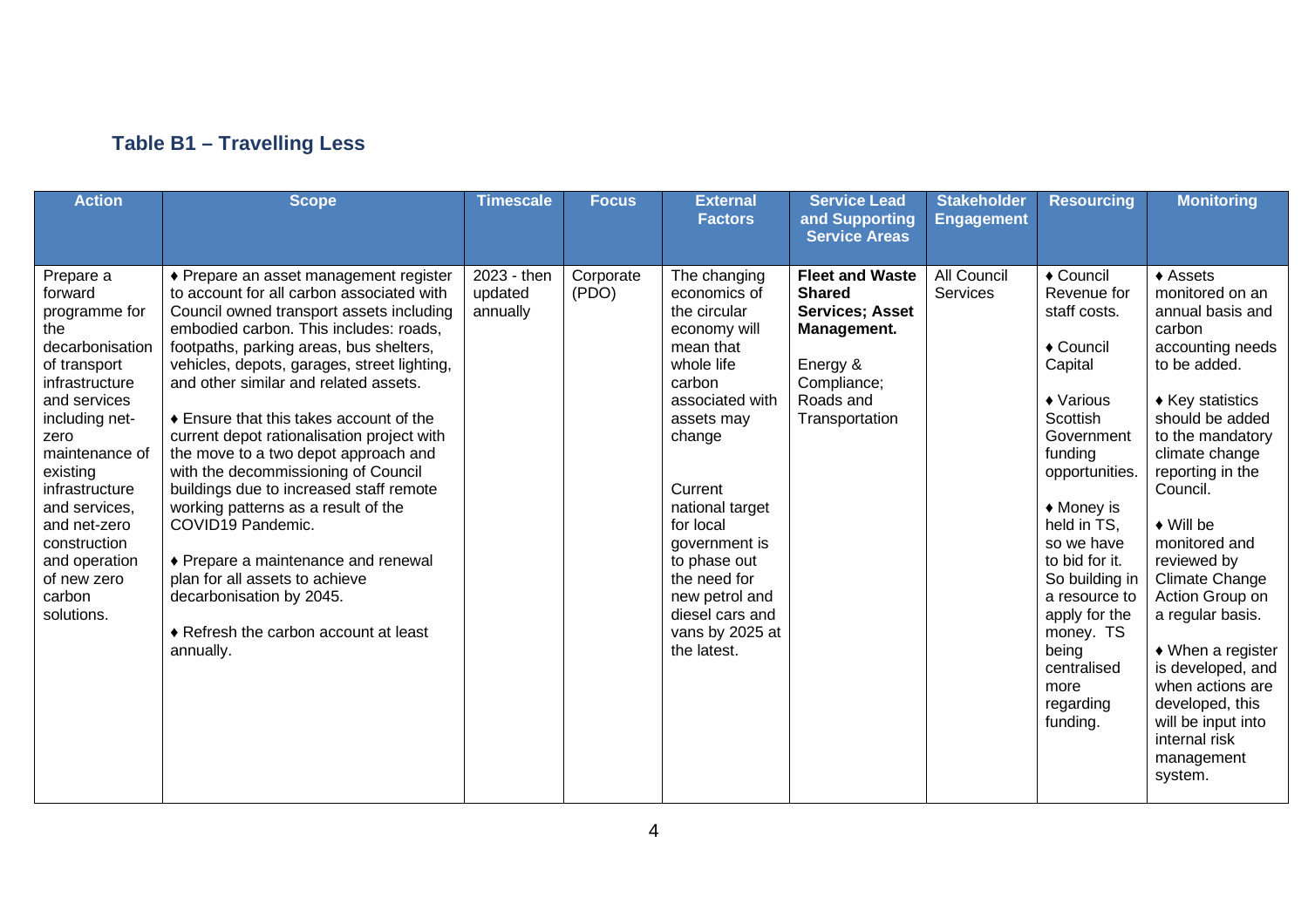#### **Table B1 – Travelling Less**

| <b>Action</b>                                                                                                                                                                                                                                                                                        | <b>Scope</b>                                                                                                                                                                                                                                                                                                                                                                                                                                                                                                                                                                                                                                                                                                                                           | <b>Timescale</b>                   | <b>Focus</b>       | <b>External</b><br><b>Factors</b>                                                                                                                                                                                                                                                                               | <b>Service Lead</b><br>and Supporting<br><b>Service Areas</b>                                                                              | <b>Stakeholder</b><br><b>Engagement</b> | <b>Resourcing</b>                                                                                                                                                                                                                                                                                                                              | <b>Monitoring</b>                                                                                                                                                                                                                                                                                                                                                                                                                                                                                                  |
|------------------------------------------------------------------------------------------------------------------------------------------------------------------------------------------------------------------------------------------------------------------------------------------------------|--------------------------------------------------------------------------------------------------------------------------------------------------------------------------------------------------------------------------------------------------------------------------------------------------------------------------------------------------------------------------------------------------------------------------------------------------------------------------------------------------------------------------------------------------------------------------------------------------------------------------------------------------------------------------------------------------------------------------------------------------------|------------------------------------|--------------------|-----------------------------------------------------------------------------------------------------------------------------------------------------------------------------------------------------------------------------------------------------------------------------------------------------------------|--------------------------------------------------------------------------------------------------------------------------------------------|-----------------------------------------|------------------------------------------------------------------------------------------------------------------------------------------------------------------------------------------------------------------------------------------------------------------------------------------------------------------------------------------------|--------------------------------------------------------------------------------------------------------------------------------------------------------------------------------------------------------------------------------------------------------------------------------------------------------------------------------------------------------------------------------------------------------------------------------------------------------------------------------------------------------------------|
| Prepare a<br>forward<br>programme for<br>the<br>decarbonisation<br>of transport<br>infrastructure<br>and services<br>including net-<br>zero<br>maintenance of<br>existing<br>infrastructure<br>and services,<br>and net-zero<br>construction<br>and operation<br>of new zero<br>carbon<br>solutions. | ◆ Prepare an asset management register<br>to account for all carbon associated with<br>Council owned transport assets including<br>embodied carbon. This includes: roads,<br>footpaths, parking areas, bus shelters,<br>vehicles, depots, garages, street lighting,<br>and other similar and related assets.<br>♦ Ensure that this takes account of the<br>current depot rationalisation project with<br>the move to a two depot approach and<br>with the decommissioning of Council<br>buildings due to increased staff remote<br>working patterns as a result of the<br>COVID19 Pandemic.<br>♦ Prepare a maintenance and renewal<br>plan for all assets to achieve<br>decarbonisation by 2045.<br>♦ Refresh the carbon account at least<br>annually. | 2023 - then<br>updated<br>annually | Corporate<br>(PDO) | The changing<br>economics of<br>the circular<br>economy will<br>mean that<br>whole life<br>carbon<br>associated with<br>assets may<br>change<br>Current<br>national target<br>for local<br>government is<br>to phase out<br>the need for<br>new petrol and<br>diesel cars and<br>vans by 2025 at<br>the latest. | <b>Fleet and Waste</b><br><b>Shared</b><br><b>Services; Asset</b><br>Management.<br>Energy &<br>Compliance;<br>Roads and<br>Transportation | <b>All Council</b><br>Services          | $\overline{\bullet}$ Council<br>Revenue for<br>staff costs.<br>◆ Council<br>Capital<br>◆ Various<br>Scottish<br>Government<br>funding<br>opportunities.<br>◆ Money is<br>held in TS,<br>so we have<br>to bid for it.<br>So building in<br>a resource to<br>apply for the<br>money. TS<br>being<br>centralised<br>more<br>regarding<br>funding. | $\triangle$ Assets<br>monitored on an<br>annual basis and<br>carbon<br>accounting needs<br>to be added.<br>$\triangle$ Key statistics<br>should be added<br>to the mandatory<br>climate change<br>reporting in the<br>Council.<br>$\bullet$ Will be<br>monitored and<br>reviewed by<br><b>Climate Change</b><br>Action Group on<br>a regular basis.<br>$\blacklozenge$ When a register<br>is developed, and<br>when actions are<br>developed, this<br>will be input into<br>internal risk<br>management<br>system. |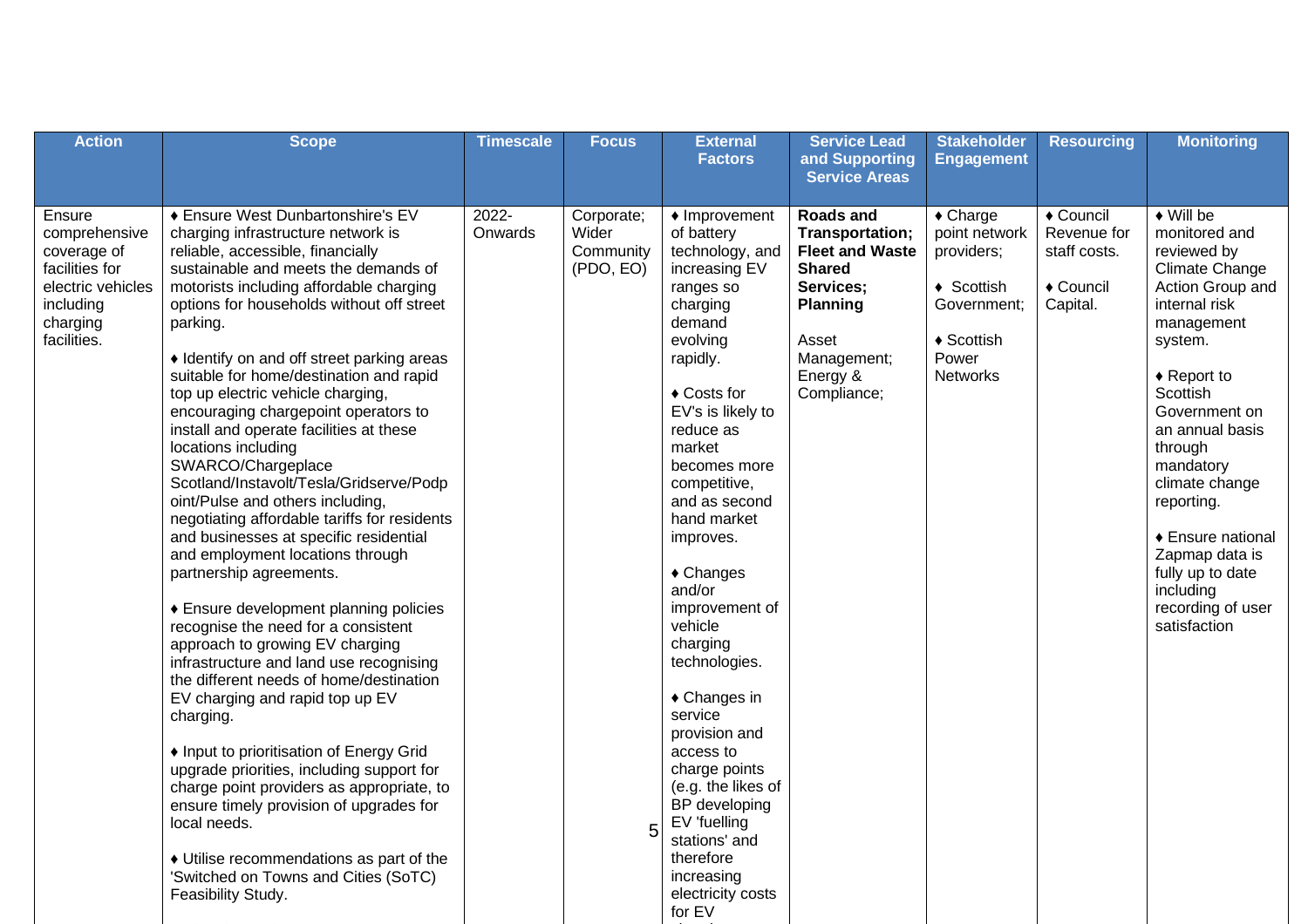| <b>Action</b>                                                                                                         | <b>Scope</b>                                                                                                                                                                                                                                                                                                                                                                                                                                                                                                                                                                                                                                                                                                                                                                                                                                                                                                                                                                                                                                                                                                                                                                                                                                                                                                                        | <b>Timescale</b> | <b>Focus</b>                                       | <b>External</b><br><b>Factors</b>                                                                                                                                                                                                                                                                                                                                                                                                                                                                                                                                                             | <b>Service Lead</b><br>and Supporting<br><b>Service Areas</b>                                                                                                     | <b>Stakeholder</b><br><b>Engagement</b>                                                                                                              | <b>Resourcing</b>                                                 | <b>Monitoring</b>                                                                                                                                                                                                                                                                                                                                                                     |
|-----------------------------------------------------------------------------------------------------------------------|-------------------------------------------------------------------------------------------------------------------------------------------------------------------------------------------------------------------------------------------------------------------------------------------------------------------------------------------------------------------------------------------------------------------------------------------------------------------------------------------------------------------------------------------------------------------------------------------------------------------------------------------------------------------------------------------------------------------------------------------------------------------------------------------------------------------------------------------------------------------------------------------------------------------------------------------------------------------------------------------------------------------------------------------------------------------------------------------------------------------------------------------------------------------------------------------------------------------------------------------------------------------------------------------------------------------------------------|------------------|----------------------------------------------------|-----------------------------------------------------------------------------------------------------------------------------------------------------------------------------------------------------------------------------------------------------------------------------------------------------------------------------------------------------------------------------------------------------------------------------------------------------------------------------------------------------------------------------------------------------------------------------------------------|-------------------------------------------------------------------------------------------------------------------------------------------------------------------|------------------------------------------------------------------------------------------------------------------------------------------------------|-------------------------------------------------------------------|---------------------------------------------------------------------------------------------------------------------------------------------------------------------------------------------------------------------------------------------------------------------------------------------------------------------------------------------------------------------------------------|
| Ensure<br>comprehensive<br>coverage of<br>facilities for<br>electric vehicles<br>including<br>charging<br>facilities. | ♦ Ensure West Dunbartonshire's EV<br>charging infrastructure network is<br>reliable, accessible, financially<br>sustainable and meets the demands of<br>motorists including affordable charging<br>options for households without off street<br>parking.<br>• Identify on and off street parking areas<br>suitable for home/destination and rapid<br>top up electric vehicle charging,<br>encouraging chargepoint operators to<br>install and operate facilities at these<br>locations including<br>SWARCO/Chargeplace<br>Scotland/Instavolt/Tesla/Gridserve/Podp<br>oint/Pulse and others including,<br>negotiating affordable tariffs for residents<br>and businesses at specific residential<br>and employment locations through<br>partnership agreements.<br>♦ Ensure development planning policies<br>recognise the need for a consistent<br>approach to growing EV charging<br>infrastructure and land use recognising<br>the different needs of home/destination<br>EV charging and rapid top up EV<br>charging.<br>• Input to prioritisation of Energy Grid<br>upgrade priorities, including support for<br>charge point providers as appropriate, to<br>ensure timely provision of upgrades for<br>local needs.<br>• Utilise recommendations as part of the<br>'Switched on Towns and Cities (SoTC)<br>Feasibility Study. | 2022-<br>Onwards | Corporate;<br>Wider<br>Community<br>(PDO, EO)<br>5 | $\triangle$ Improvement<br>of battery<br>technology, and<br>increasing EV<br>ranges so<br>charging<br>demand<br>evolving<br>rapidly.<br>◆ Costs for<br>EV's is likely to<br>reduce as<br>market<br>becomes more<br>competitive,<br>and as second<br>hand market<br>improves.<br>$\triangle$ Changes<br>and/or<br>improvement of<br>vehicle<br>charging<br>technologies.<br>$\triangle$ Changes in<br>service<br>provision and<br>access to<br>charge points<br>(e.g. the likes of<br>BP developing<br>EV 'fuelling<br>stations' and<br>therefore<br>increasing<br>electricity costs<br>for EV | <b>Roads and</b><br>Transportation;<br><b>Fleet and Waste</b><br><b>Shared</b><br>Services;<br><b>Planning</b><br>Asset<br>Management;<br>Energy &<br>Compliance; | $\triangle$ Charge<br>point network<br>providers;<br>$\triangleleft$ Scottish<br>Government:<br>$\triangleleft$ Scottish<br>Power<br><b>Networks</b> | ◆ Council<br>Revenue for<br>staff costs.<br>◆ Council<br>Capital. | $\blacklozenge$ Will be<br>monitored and<br>reviewed by<br>Climate Change<br>Action Group and<br>internal risk<br>management<br>system.<br>$\triangle$ Report to<br>Scottish<br>Government on<br>an annual basis<br>through<br>mandatory<br>climate change<br>reporting.<br>♦ Ensure national<br>Zapmap data is<br>fully up to date<br>including<br>recording of user<br>satisfaction |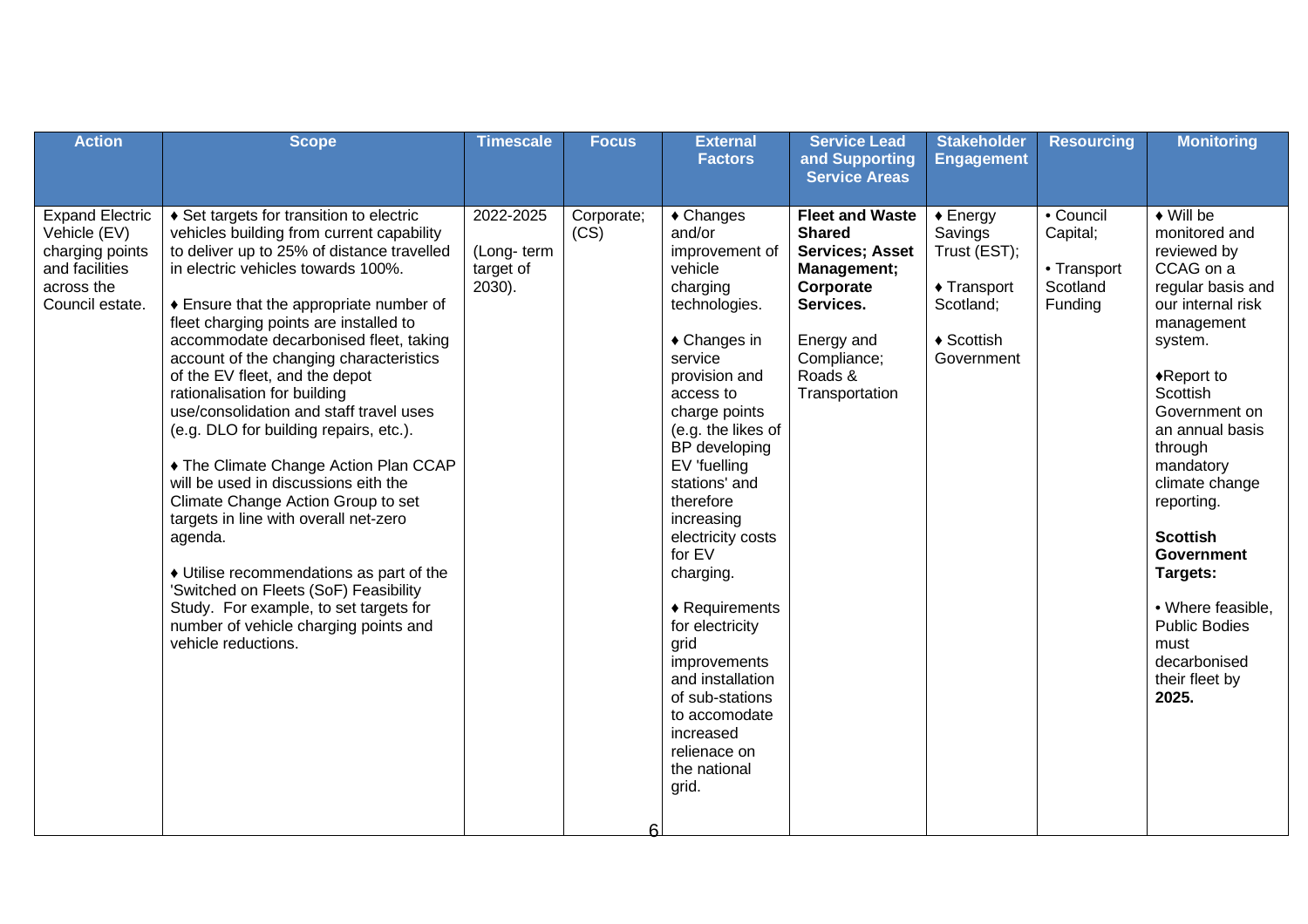| <b>Action</b>                                                                                                | <b>Scope</b>                                                                                                                                                                                                                                                                                                                                                                                                                                                                                                                                                                                                                                                                                                                                                                                                                                                                         | <b>Timescale</b>                                  | <b>Focus</b>              | <b>External</b><br><b>Factors</b>                                                                                                                                                                                                                                                                                                                                                                                                                                                                               | <b>Service Lead</b><br>and Supporting                                                                                                                                                        | <b>Stakeholder</b><br><b>Engagement</b>                                                                         | <b>Resourcing</b>                                           | <b>Monitoring</b>                                                                                                                                                                                                                                                                                                                                                                                                      |
|--------------------------------------------------------------------------------------------------------------|--------------------------------------------------------------------------------------------------------------------------------------------------------------------------------------------------------------------------------------------------------------------------------------------------------------------------------------------------------------------------------------------------------------------------------------------------------------------------------------------------------------------------------------------------------------------------------------------------------------------------------------------------------------------------------------------------------------------------------------------------------------------------------------------------------------------------------------------------------------------------------------|---------------------------------------------------|---------------------------|-----------------------------------------------------------------------------------------------------------------------------------------------------------------------------------------------------------------------------------------------------------------------------------------------------------------------------------------------------------------------------------------------------------------------------------------------------------------------------------------------------------------|----------------------------------------------------------------------------------------------------------------------------------------------------------------------------------------------|-----------------------------------------------------------------------------------------------------------------|-------------------------------------------------------------|------------------------------------------------------------------------------------------------------------------------------------------------------------------------------------------------------------------------------------------------------------------------------------------------------------------------------------------------------------------------------------------------------------------------|
| <b>Expand Electric</b><br>Vehicle (EV)<br>charging points<br>and facilities<br>across the<br>Council estate. | ♦ Set targets for transition to electric<br>vehicles building from current capability<br>to deliver up to 25% of distance travelled<br>in electric vehicles towards 100%.<br>♦ Ensure that the appropriate number of<br>fleet charging points are installed to<br>accommodate decarbonised fleet, taking<br>account of the changing characteristics<br>of the EV fleet, and the depot<br>rationalisation for building<br>use/consolidation and staff travel uses<br>(e.g. DLO for building repairs, etc.).<br>◆ The Climate Change Action Plan CCAP<br>will be used in discussions eith the<br>Climate Change Action Group to set<br>targets in line with overall net-zero<br>agenda.<br>• Utilise recommendations as part of the<br>'Switched on Fleets (SoF) Feasibility<br>Study. For example, to set targets for<br>number of vehicle charging points and<br>vehicle reductions. | 2022-2025<br>(Long-term<br>target of<br>$2030$ ). | Corporate;<br>(CS)<br>ี่ค | $\triangle$ Changes<br>and/or<br>improvement of<br>vehicle<br>charging<br>technologies.<br>$\triangle$ Changes in<br>service<br>provision and<br>access to<br>charge points<br>(e.g. the likes of<br>BP developing<br>EV 'fuelling<br>stations' and<br>therefore<br>increasing<br>electricity costs<br>for EV<br>charging.<br>$\triangle$ Requirements<br>for electricity<br>grid<br>improvements<br>and installation<br>of sub-stations<br>to accomodate<br>increased<br>relienace on<br>the national<br>grid. | <b>Service Areas</b><br><b>Fleet and Waste</b><br><b>Shared</b><br><b>Services; Asset</b><br>Management;<br>Corporate<br>Services.<br>Energy and<br>Compliance;<br>Roads &<br>Transportation | $\triangle$ Energy<br>Savings<br>Trust (EST);<br>$\triangle$ Transport<br>Scotland;<br>♦ Scottish<br>Government | • Council<br>Capital;<br>• Transport<br>Scotland<br>Funding | $\overline{\bullet}$ Will be<br>monitored and<br>reviewed by<br>CCAG on a<br>regular basis and<br>our internal risk<br>management<br>system.<br>◆Report to<br>Scottish<br>Government on<br>an annual basis<br>through<br>mandatory<br>climate change<br>reporting.<br><b>Scottish</b><br><b>Government</b><br>Targets:<br>• Where feasible,<br><b>Public Bodies</b><br>must<br>decarbonised<br>their fleet by<br>2025. |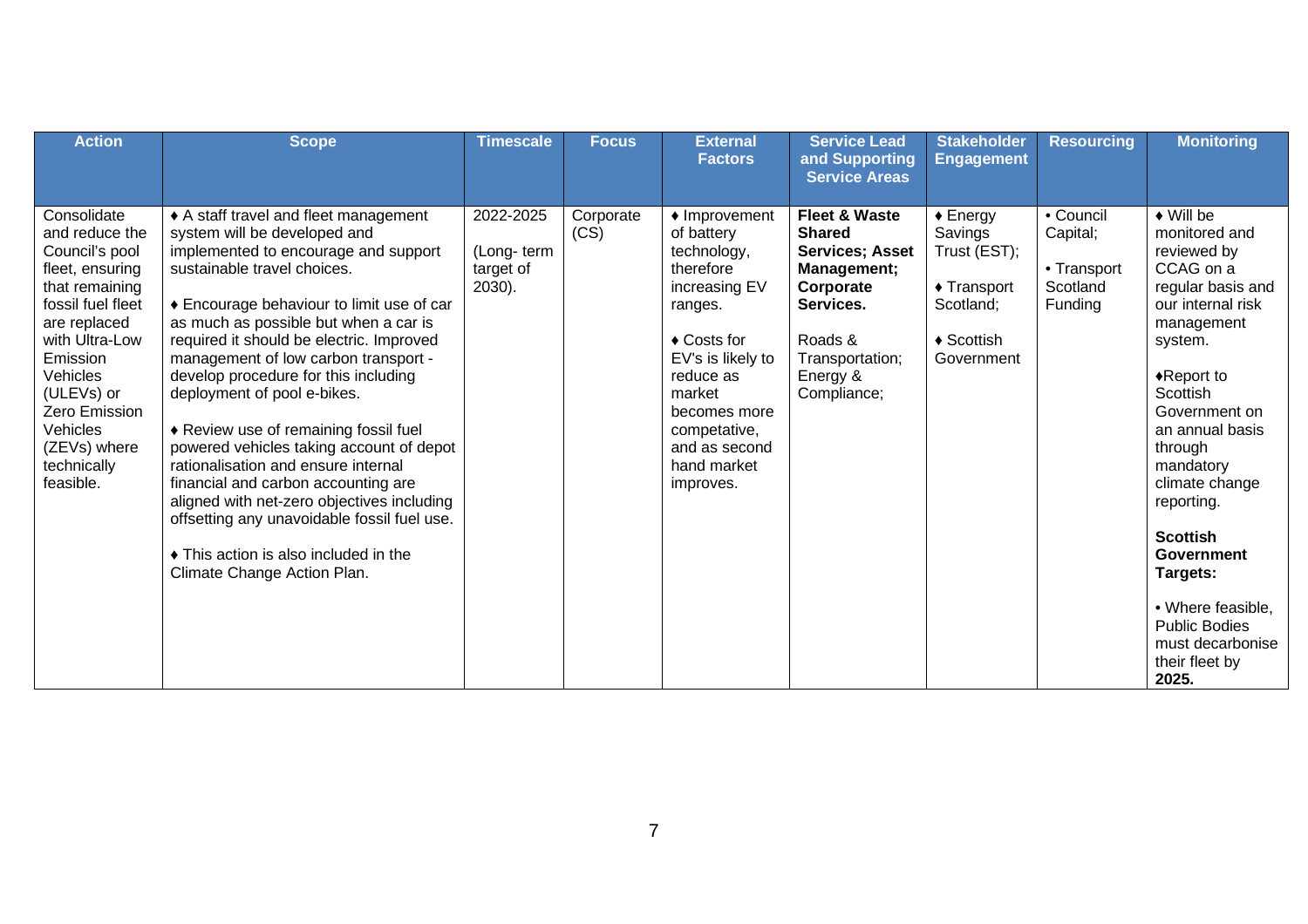| <b>Action</b>                                                                                                                                                                                                                                                     | <b>Scope</b>                                                                                                                                                                                                                                                                                                                                                                                                                                                                                                                                                                                                                                                                                                                          | <b>Timescale</b>                               | <b>Focus</b>      | <b>External</b><br><b>Factors</b>                                                                                                                                                                                                     | <b>Service Lead</b><br>and Supporting<br><b>Service Areas</b>                                                                                                          | <b>Stakeholder</b><br><b>Engagement</b>                                                                                   | <b>Resourcing</b>                                           | <b>Monitoring</b>                                                                                                                                                                                                                                                                                                                                                                                                  |
|-------------------------------------------------------------------------------------------------------------------------------------------------------------------------------------------------------------------------------------------------------------------|---------------------------------------------------------------------------------------------------------------------------------------------------------------------------------------------------------------------------------------------------------------------------------------------------------------------------------------------------------------------------------------------------------------------------------------------------------------------------------------------------------------------------------------------------------------------------------------------------------------------------------------------------------------------------------------------------------------------------------------|------------------------------------------------|-------------------|---------------------------------------------------------------------------------------------------------------------------------------------------------------------------------------------------------------------------------------|------------------------------------------------------------------------------------------------------------------------------------------------------------------------|---------------------------------------------------------------------------------------------------------------------------|-------------------------------------------------------------|--------------------------------------------------------------------------------------------------------------------------------------------------------------------------------------------------------------------------------------------------------------------------------------------------------------------------------------------------------------------------------------------------------------------|
| Consolidate<br>and reduce the<br>Council's pool<br>fleet, ensuring<br>that remaining<br>fossil fuel fleet<br>are replaced<br>with Ultra-Low<br>Emission<br>Vehicles<br>(ULEVs) or<br><b>Zero Emission</b><br>Vehicles<br>(ZEVs) where<br>technically<br>feasible. | ♦ A staff travel and fleet management<br>system will be developed and<br>implemented to encourage and support<br>sustainable travel choices.<br>♦ Encourage behaviour to limit use of car<br>as much as possible but when a car is<br>required it should be electric. Improved<br>management of low carbon transport -<br>develop procedure for this including<br>deployment of pool e-bikes.<br>◆ Review use of remaining fossil fuel<br>powered vehicles taking account of depot<br>rationalisation and ensure internal<br>financial and carbon accounting are<br>aligned with net-zero objectives including<br>offsetting any unavoidable fossil fuel use.<br>• This action is also included in the<br>Climate Change Action Plan. | 2022-2025<br>(Long-term<br>target of<br>2030). | Corporate<br>(CS) | $\triangle$ Improvement<br>of battery<br>technology,<br>therefore<br>increasing EV<br>ranges.<br>◆ Costs for<br>EV's is likely to<br>reduce as<br>market<br>becomes more<br>competative,<br>and as second<br>hand market<br>improves. | <b>Fleet &amp; Waste</b><br><b>Shared</b><br><b>Services</b> ; Asset<br>Management;<br>Corporate<br>Services.<br>Roads &<br>Transportation;<br>Energy &<br>Compliance; | $\triangle$ Energy<br>Savings<br>Trust (EST);<br>$\triangle$ Transport<br>Scotland;<br>$\triangle$ Scottish<br>Government | • Council<br>Capital;<br>• Transport<br>Scotland<br>Funding | $\bullet$ Will be<br>monitored and<br>reviewed by<br>CCAG on a<br>regular basis and<br>our internal risk<br>management<br>system.<br>$\triangle$ Report to<br>Scottish<br>Government on<br>an annual basis<br>through<br>mandatory<br>climate change<br>reporting.<br><b>Scottish</b><br><b>Government</b><br>Targets:<br>• Where feasible,<br><b>Public Bodies</b><br>must decarbonise<br>their fleet by<br>2025. |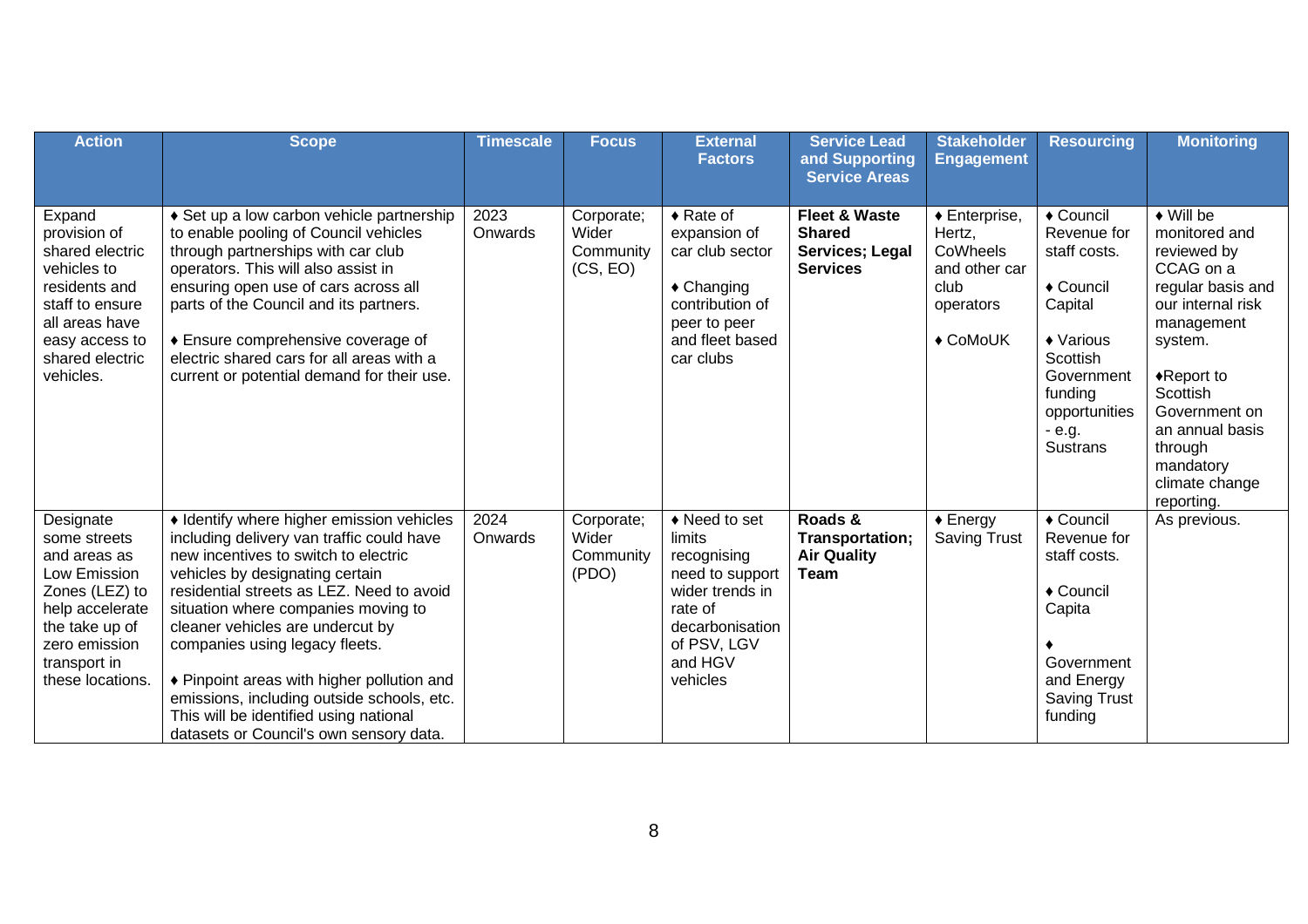| <b>Action</b>                                                                                                                                                         | <b>Scope</b>                                                                                                                                                                                                                                                                                                                                                                                                                                                                                                 | <b>Timescale</b> | <b>Focus</b>                                 | <b>External</b><br><b>Factors</b>                                                                                                                 | <b>Service Lead</b><br>and Supporting<br><b>Service Areas</b>                   | <b>Stakeholder</b><br><b>Engagement</b>                                                                   | <b>Resourcing</b>                                                                                                                                                 | <b>Monitoring</b>                                                                                                                                                                                                                                                        |
|-----------------------------------------------------------------------------------------------------------------------------------------------------------------------|--------------------------------------------------------------------------------------------------------------------------------------------------------------------------------------------------------------------------------------------------------------------------------------------------------------------------------------------------------------------------------------------------------------------------------------------------------------------------------------------------------------|------------------|----------------------------------------------|---------------------------------------------------------------------------------------------------------------------------------------------------|---------------------------------------------------------------------------------|-----------------------------------------------------------------------------------------------------------|-------------------------------------------------------------------------------------------------------------------------------------------------------------------|--------------------------------------------------------------------------------------------------------------------------------------------------------------------------------------------------------------------------------------------------------------------------|
| Expand<br>provision of<br>shared electric<br>vehicles to<br>residents and<br>staff to ensure<br>all areas have<br>easy access to<br>shared electric<br>vehicles.      | ♦ Set up a low carbon vehicle partnership<br>to enable pooling of Council vehicles<br>through partnerships with car club<br>operators. This will also assist in<br>ensuring open use of cars across all<br>parts of the Council and its partners.<br>♦ Ensure comprehensive coverage of<br>electric shared cars for all areas with a<br>current or potential demand for their use.                                                                                                                           | 2023<br>Onwards  | Corporate;<br>Wider<br>Community<br>(CS, EO) | $\triangle$ Rate of<br>expansion of<br>car club sector<br>$\triangle$ Changing<br>contribution of<br>peer to peer<br>and fleet based<br>car clubs | <b>Fleet &amp; Waste</b><br><b>Shared</b><br>Services; Legal<br><b>Services</b> | $\triangle$ Enterprise,<br>Hertz,<br>CoWheels<br>and other car<br>club<br>operators<br>$\triangle$ CoMoUK | ◆ Council<br>Revenue for<br>staff costs.<br>◆ Council<br>Capital<br>◆ Various<br>Scottish<br>Government<br>funding<br>opportunities<br>$-e.g.$<br><b>Sustrans</b> | $\blacklozenge$ Will be<br>monitored and<br>reviewed by<br>CCAG on a<br>regular basis and<br>our internal risk<br>management<br>system.<br>$\triangle$ Report to<br>Scottish<br>Government on<br>an annual basis<br>through<br>mandatory<br>climate change<br>reporting. |
| Designate<br>some streets<br>and areas as<br>Low Emission<br>Zones (LEZ) to<br>help accelerate<br>the take up of<br>zero emission<br>transport in<br>these locations. | • Identify where higher emission vehicles<br>including delivery van traffic could have<br>new incentives to switch to electric<br>vehicles by designating certain<br>residential streets as LEZ. Need to avoid<br>situation where companies moving to<br>cleaner vehicles are undercut by<br>companies using legacy fleets.<br>♦ Pinpoint areas with higher pollution and<br>emissions, including outside schools, etc.<br>This will be identified using national<br>datasets or Council's own sensory data. | 2024<br>Onwards  | Corporate;<br>Wider<br>Community<br>(PDO)    | ◆ Need to set<br>limits<br>recognising<br>need to support<br>wider trends in<br>rate of<br>decarbonisation<br>of PSV, LGV<br>and HGV<br>vehicles  | Roads &<br>Transportation;<br><b>Air Quality</b><br>Team                        | $\triangle$ Energy<br><b>Saving Trust</b>                                                                 | ◆ Council<br>Revenue for<br>staff costs.<br>◆ Council<br>Capita<br>Government<br>and Energy<br><b>Saving Trust</b><br>funding                                     | As previous.                                                                                                                                                                                                                                                             |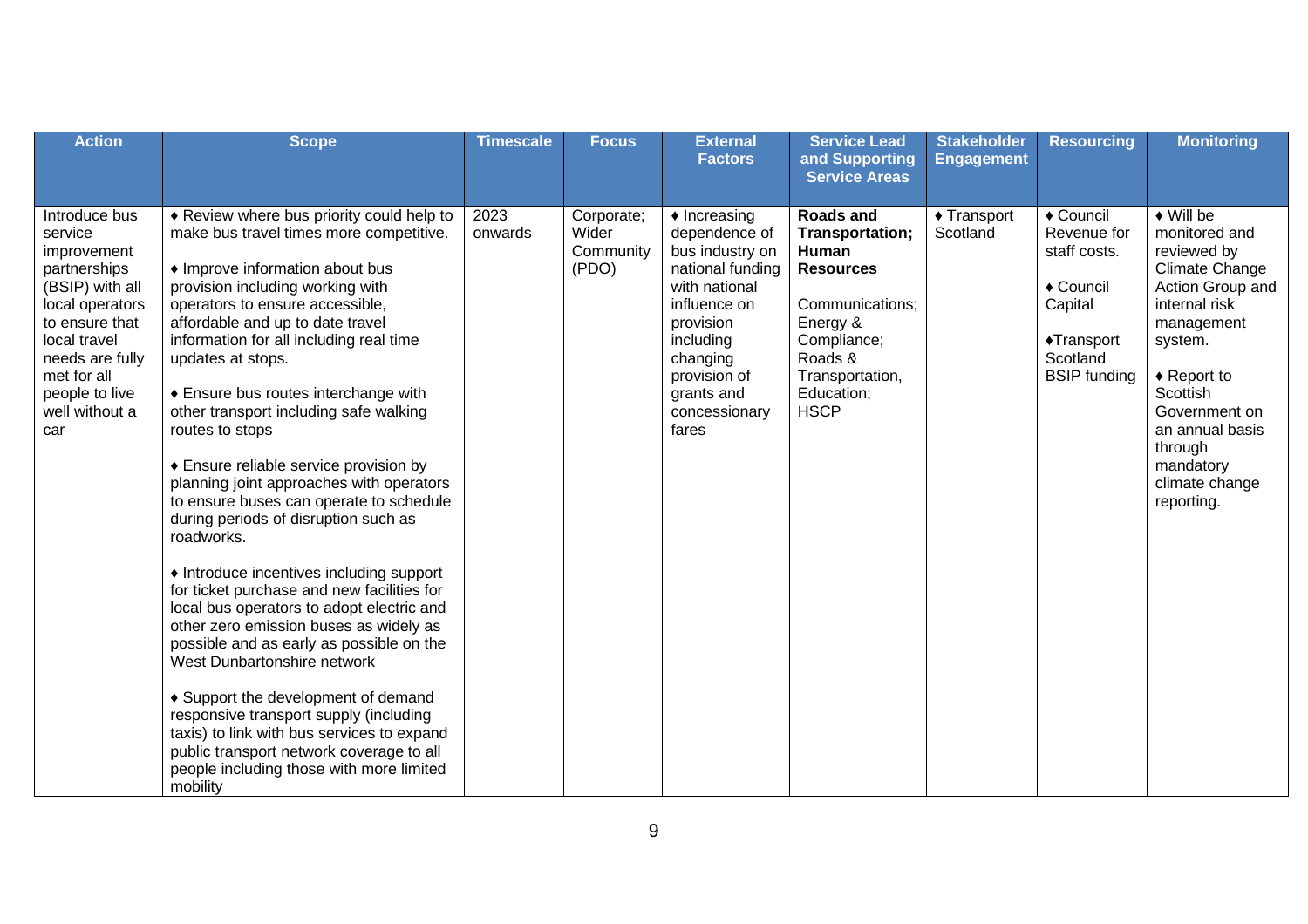| <b>Action</b>                                                                                                                                                                                                | <b>Scope</b>                                                                                                                                                                                                                                                                                                                                                                                                                                                                                                                                                                                                                                                                                                                                                                                                                                                                                                                                                                                                                                                                                  | <b>Timescale</b> | <b>Focus</b>                              | <b>External</b><br><b>Factors</b>                                                                                                                                                                             | <b>Service Lead</b><br>and Supporting<br><b>Service Areas</b>                                                                                                             | <b>Stakeholder</b><br><b>Engagement</b> | <b>Resourcing</b>                                                                                                 | <b>Monitoring</b>                                                                                                                                                                                                                                                         |
|--------------------------------------------------------------------------------------------------------------------------------------------------------------------------------------------------------------|-----------------------------------------------------------------------------------------------------------------------------------------------------------------------------------------------------------------------------------------------------------------------------------------------------------------------------------------------------------------------------------------------------------------------------------------------------------------------------------------------------------------------------------------------------------------------------------------------------------------------------------------------------------------------------------------------------------------------------------------------------------------------------------------------------------------------------------------------------------------------------------------------------------------------------------------------------------------------------------------------------------------------------------------------------------------------------------------------|------------------|-------------------------------------------|---------------------------------------------------------------------------------------------------------------------------------------------------------------------------------------------------------------|---------------------------------------------------------------------------------------------------------------------------------------------------------------------------|-----------------------------------------|-------------------------------------------------------------------------------------------------------------------|---------------------------------------------------------------------------------------------------------------------------------------------------------------------------------------------------------------------------------------------------------------------------|
| Introduce bus<br>service<br>improvement<br>partnerships<br>(BSIP) with all<br>local operators<br>to ensure that<br>local travel<br>needs are fully<br>met for all<br>people to live<br>well without a<br>car | ♦ Review where bus priority could help to<br>make bus travel times more competitive.<br>• Improve information about bus<br>provision including working with<br>operators to ensure accessible,<br>affordable and up to date travel<br>information for all including real time<br>updates at stops.<br>♦ Ensure bus routes interchange with<br>other transport including safe walking<br>routes to stops<br>♦ Ensure reliable service provision by<br>planning joint approaches with operators<br>to ensure buses can operate to schedule<br>during periods of disruption such as<br>roadworks.<br>• Introduce incentives including support<br>for ticket purchase and new facilities for<br>local bus operators to adopt electric and<br>other zero emission buses as widely as<br>possible and as early as possible on the<br>West Dunbartonshire network<br>♦ Support the development of demand<br>responsive transport supply (including<br>taxis) to link with bus services to expand<br>public transport network coverage to all<br>people including those with more limited<br>mobility | 2023<br>onwards  | Corporate;<br>Wider<br>Community<br>(PDO) | $\triangle$ Increasing<br>dependence of<br>bus industry on<br>national funding<br>with national<br>influence on<br>provision<br>including<br>changing<br>provision of<br>grants and<br>concessionary<br>fares | <b>Roads and</b><br>Transportation;<br>Human<br><b>Resources</b><br>Communications;<br>Energy &<br>Compliance;<br>Roads &<br>Transportation,<br>Education;<br><b>HSCP</b> | $\triangle$ Transport<br>Scotland       | ◆ Council<br>Revenue for<br>staff costs.<br>◆ Council<br>Capital<br>◆Transport<br>Scotland<br><b>BSIP</b> funding | $\bullet$ Will be<br>monitored and<br>reviewed by<br><b>Climate Change</b><br>Action Group and<br>internal risk<br>management<br>system.<br>$\triangle$ Report to<br>Scottish<br>Government on<br>an annual basis<br>through<br>mandatory<br>climate change<br>reporting. |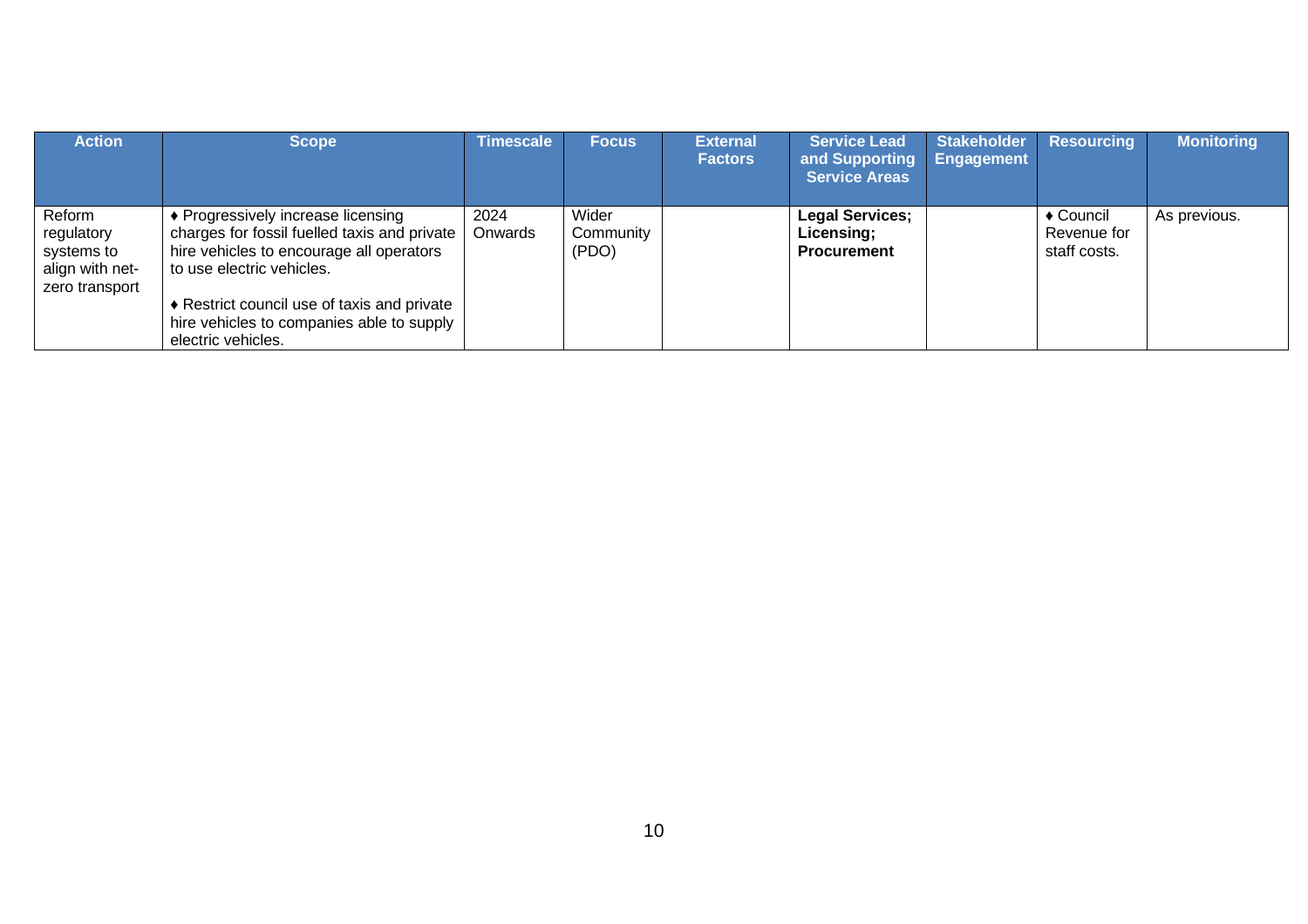| <b>Action</b>                                                           | <b>Scope</b>                                                                                                                                                | <b>Timescale</b> | <b>Focus</b>                | <b>External</b><br><b>Factors</b> | <b>Service Lead</b><br>and Supporting<br><b>Service Areas</b> | <b>Stakeholder</b><br><b>Engagement</b> | <b>Resourcing</b>                                  | <b>Monitoring</b> |
|-------------------------------------------------------------------------|-------------------------------------------------------------------------------------------------------------------------------------------------------------|------------------|-----------------------------|-----------------------------------|---------------------------------------------------------------|-----------------------------------------|----------------------------------------------------|-------------------|
| Reform<br>regulatory<br>systems to<br>align with net-<br>zero transport | ♦ Progressively increase licensing<br>charges for fossil fuelled taxis and private<br>hire vehicles to encourage all operators<br>to use electric vehicles. | 2024<br>Onwards  | Wider<br>Community<br>(PDO) |                                   | <b>Legal Services;</b><br>Licensing;<br><b>Procurement</b>    |                                         | $\triangle$ Council<br>Revenue for<br>staff costs. | As previous.      |
|                                                                         | ♦ Restrict council use of taxis and private<br>hire vehicles to companies able to supply<br>electric vehicles.                                              |                  |                             |                                   |                                                               |                                         |                                                    |                   |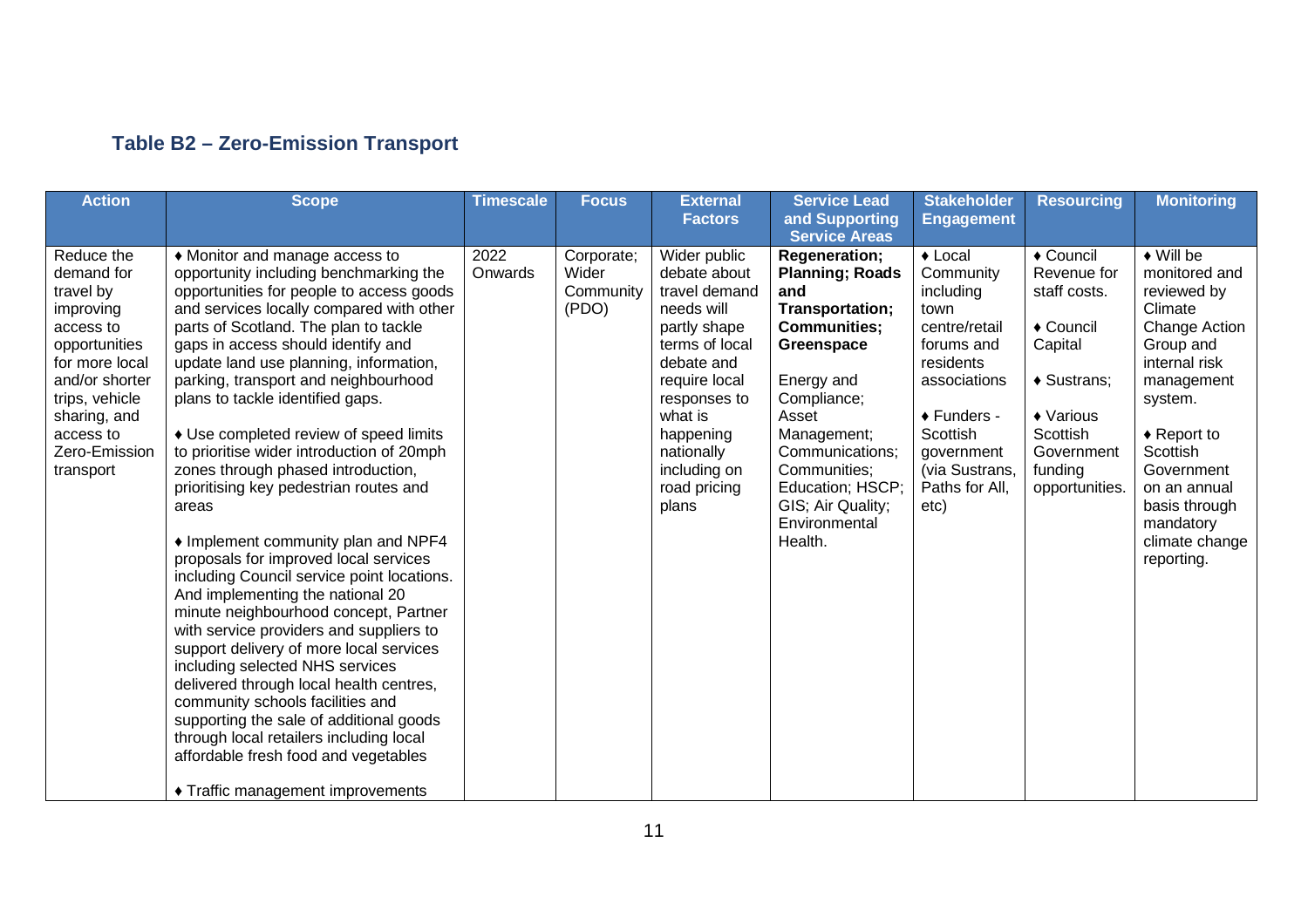#### **Table B2 – Zero-Emission Transport**

| <b>Action</b>                                                                                                                                                                                     | <b>Scope</b>                                                                                                                                                                                                                                                                                                                                                                                                                                                                                                                                                                                                                                                                                                                                                                                                                                                                                                                                                                                                                                                                                                                                | <b>Timescale</b> | <b>Focus</b>                              | <b>External</b><br><b>Factors</b>                                                                                                                                                                                           | <b>Service Lead</b><br>and Supporting<br><b>Service Areas</b>                                                                                                                                                                                                              | <b>Stakeholder</b><br><b>Engagement</b>                                                                                                                                                              | <b>Resourcing</b>                                                                                                                                   | <b>Monitoring</b>                                                                                                                                                                                                                                                                |
|---------------------------------------------------------------------------------------------------------------------------------------------------------------------------------------------------|---------------------------------------------------------------------------------------------------------------------------------------------------------------------------------------------------------------------------------------------------------------------------------------------------------------------------------------------------------------------------------------------------------------------------------------------------------------------------------------------------------------------------------------------------------------------------------------------------------------------------------------------------------------------------------------------------------------------------------------------------------------------------------------------------------------------------------------------------------------------------------------------------------------------------------------------------------------------------------------------------------------------------------------------------------------------------------------------------------------------------------------------|------------------|-------------------------------------------|-----------------------------------------------------------------------------------------------------------------------------------------------------------------------------------------------------------------------------|----------------------------------------------------------------------------------------------------------------------------------------------------------------------------------------------------------------------------------------------------------------------------|------------------------------------------------------------------------------------------------------------------------------------------------------------------------------------------------------|-----------------------------------------------------------------------------------------------------------------------------------------------------|----------------------------------------------------------------------------------------------------------------------------------------------------------------------------------------------------------------------------------------------------------------------------------|
| Reduce the<br>demand for<br>travel by<br>improving<br>access to<br>opportunities<br>for more local<br>and/or shorter<br>trips, vehicle<br>sharing, and<br>access to<br>Zero-Emission<br>transport | • Monitor and manage access to<br>opportunity including benchmarking the<br>opportunities for people to access goods<br>and services locally compared with other<br>parts of Scotland. The plan to tackle<br>gaps in access should identify and<br>update land use planning, information,<br>parking, transport and neighbourhood<br>plans to tackle identified gaps.<br>• Use completed review of speed limits<br>to prioritise wider introduction of 20mph<br>zones through phased introduction,<br>prioritising key pedestrian routes and<br>areas<br>• Implement community plan and NPF4<br>proposals for improved local services<br>including Council service point locations.<br>And implementing the national 20<br>minute neighbourhood concept, Partner<br>with service providers and suppliers to<br>support delivery of more local services<br>including selected NHS services<br>delivered through local health centres,<br>community schools facilities and<br>supporting the sale of additional goods<br>through local retailers including local<br>affordable fresh food and vegetables<br>♦ Traffic management improvements | 2022<br>Onwards  | Corporate;<br>Wider<br>Community<br>(PDO) | Wider public<br>debate about<br>travel demand<br>needs will<br>partly shape<br>terms of local<br>debate and<br>require local<br>responses to<br>what is<br>happening<br>nationally<br>including on<br>road pricing<br>plans | <b>Regeneration;</b><br><b>Planning; Roads</b><br>and<br>Transportation;<br><b>Communities;</b><br>Greenspace<br>Energy and<br>Compliance;<br>Asset<br>Management;<br>Communications:<br>Communities:<br>Education; HSCP;<br>GIS; Air Quality;<br>Environmental<br>Health. | $\triangle$ Local<br>Community<br>including<br>town<br>centre/retail<br>forums and<br>residents<br>associations<br>◆ Funders -<br>Scottish<br>government<br>(via Sustrans,<br>Paths for All,<br>etc) | ◆ Council<br>Revenue for<br>staff costs.<br>◆ Council<br>Capital<br>♦ Sustrans;<br>♦ Various<br>Scottish<br>Government<br>funding<br>opportunities. | $\overline{\bullet}$ Will be<br>monitored and<br>reviewed by<br>Climate<br>Change Action<br>Group and<br>internal risk<br>management<br>system.<br>$\triangle$ Report to<br>Scottish<br>Government<br>on an annual<br>basis through<br>mandatory<br>climate change<br>reporting. |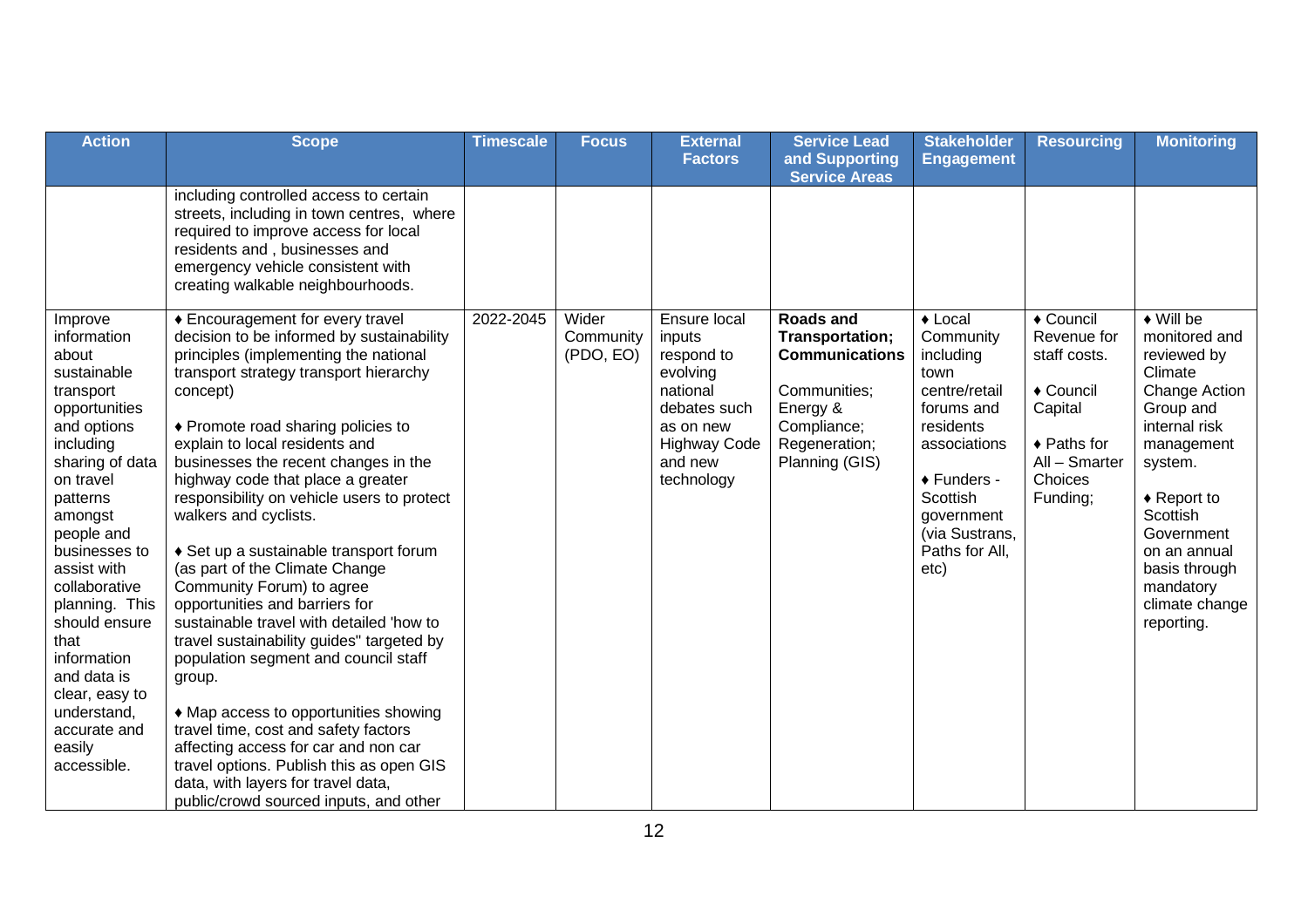| <b>Action</b>                                                                                                                                                                                                                                                                                                                                                                     | <b>Scope</b>                                                                                                                                                                                                                                                                                                                                                                                                                                                                                                                                                                                                                                                                                                                                                                                                                                                                                                                                        | <b>Timescale</b> | <b>Focus</b>                    | <b>External</b><br><b>Factors</b>                                                                                                         | <b>Service Lead</b><br>and Supporting                                                                                                      | <b>Stakeholder</b><br><b>Engagement</b>                                                                                                                                                              | <b>Resourcing</b>                                                                                                                 | <b>Monitoring</b>                                                                                                                                                                                                                                                                |
|-----------------------------------------------------------------------------------------------------------------------------------------------------------------------------------------------------------------------------------------------------------------------------------------------------------------------------------------------------------------------------------|-----------------------------------------------------------------------------------------------------------------------------------------------------------------------------------------------------------------------------------------------------------------------------------------------------------------------------------------------------------------------------------------------------------------------------------------------------------------------------------------------------------------------------------------------------------------------------------------------------------------------------------------------------------------------------------------------------------------------------------------------------------------------------------------------------------------------------------------------------------------------------------------------------------------------------------------------------|------------------|---------------------------------|-------------------------------------------------------------------------------------------------------------------------------------------|--------------------------------------------------------------------------------------------------------------------------------------------|------------------------------------------------------------------------------------------------------------------------------------------------------------------------------------------------------|-----------------------------------------------------------------------------------------------------------------------------------|----------------------------------------------------------------------------------------------------------------------------------------------------------------------------------------------------------------------------------------------------------------------------------|
|                                                                                                                                                                                                                                                                                                                                                                                   | including controlled access to certain<br>streets, including in town centres, where<br>required to improve access for local<br>residents and, businesses and<br>emergency vehicle consistent with<br>creating walkable neighbourhoods.                                                                                                                                                                                                                                                                                                                                                                                                                                                                                                                                                                                                                                                                                                              |                  |                                 |                                                                                                                                           | <b>Service Areas</b>                                                                                                                       |                                                                                                                                                                                                      |                                                                                                                                   |                                                                                                                                                                                                                                                                                  |
| Improve<br>information<br>about<br>sustainable<br>transport<br>opportunities<br>and options<br>including<br>sharing of data<br>on travel<br>patterns<br>amongst<br>people and<br>businesses to<br>assist with<br>collaborative<br>planning. This<br>should ensure<br>that<br>information<br>and data is<br>clear, easy to<br>understand,<br>accurate and<br>easily<br>accessible. | ♦ Encouragement for every travel<br>decision to be informed by sustainability<br>principles (implementing the national<br>transport strategy transport hierarchy<br>concept)<br>♦ Promote road sharing policies to<br>explain to local residents and<br>businesses the recent changes in the<br>highway code that place a greater<br>responsibility on vehicle users to protect<br>walkers and cyclists.<br>♦ Set up a sustainable transport forum<br>(as part of the Climate Change<br>Community Forum) to agree<br>opportunities and barriers for<br>sustainable travel with detailed 'how to<br>travel sustainability guides" targeted by<br>population segment and council staff<br>group.<br>• Map access to opportunities showing<br>travel time, cost and safety factors<br>affecting access for car and non car<br>travel options. Publish this as open GIS<br>data, with layers for travel data,<br>public/crowd sourced inputs, and other | 2022-2045        | Wider<br>Community<br>(PDO, EO) | Ensure local<br>inputs<br>respond to<br>evolving<br>national<br>debates such<br>as on new<br><b>Highway Code</b><br>and new<br>technology | <b>Roads and</b><br>Transportation;<br><b>Communications</b><br>Communities;<br>Energy &<br>Compliance;<br>Regeneration;<br>Planning (GIS) | $\triangle$ Local<br>Community<br>including<br>town<br>centre/retail<br>forums and<br>residents<br>associations<br>◆ Funders -<br>Scottish<br>government<br>(via Sustrans,<br>Paths for All,<br>etc) | ◆ Council<br>Revenue for<br>staff costs.<br>◆ Council<br>Capital<br>$\triangle$ Paths for<br>All - Smarter<br>Choices<br>Funding; | $\overline{\bullet}$ Will be<br>monitored and<br>reviewed by<br>Climate<br>Change Action<br>Group and<br>internal risk<br>management<br>system.<br>$\triangle$ Report to<br>Scottish<br>Government<br>on an annual<br>basis through<br>mandatory<br>climate change<br>reporting. |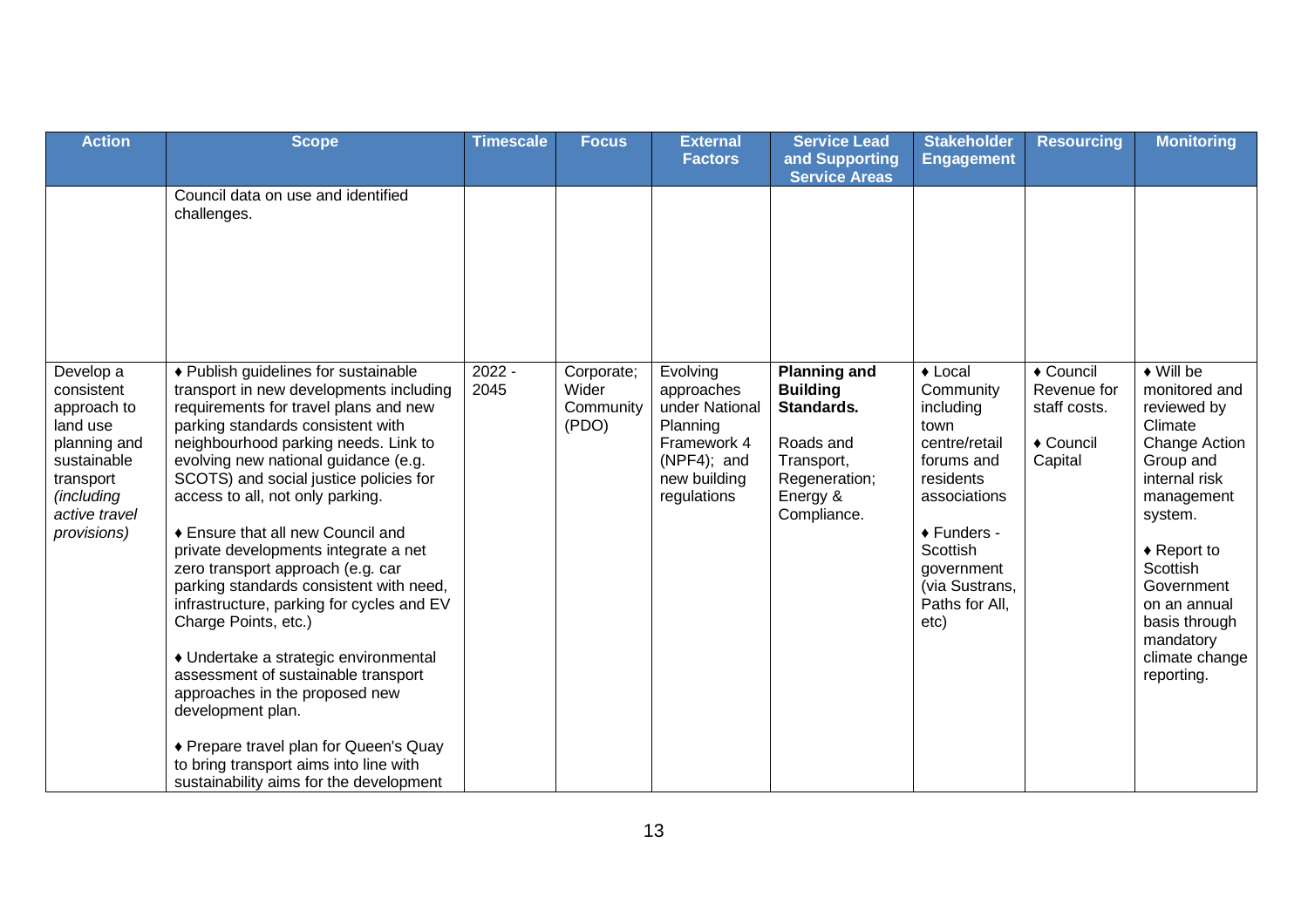| <b>Action</b>                                                                                                                                | <b>Scope</b>                                                                                                                                                                                                                                                                                                                                                                                                                                                                                                                                                                                                                                                                                                                                                                                                                        | <b>Timescale</b> | Focus                                     | <b>External</b><br><b>Factors</b>                                                                                 | <b>Service Lead</b><br>and Supporting<br><b>Service Areas</b>                                                               | <b>Stakeholder</b><br><b>Engagement</b>                                                                                                                                                              | <b>Resourcing</b>                                                | <b>Monitoring</b>                                                                                                                                                                                                                                                     |
|----------------------------------------------------------------------------------------------------------------------------------------------|-------------------------------------------------------------------------------------------------------------------------------------------------------------------------------------------------------------------------------------------------------------------------------------------------------------------------------------------------------------------------------------------------------------------------------------------------------------------------------------------------------------------------------------------------------------------------------------------------------------------------------------------------------------------------------------------------------------------------------------------------------------------------------------------------------------------------------------|------------------|-------------------------------------------|-------------------------------------------------------------------------------------------------------------------|-----------------------------------------------------------------------------------------------------------------------------|------------------------------------------------------------------------------------------------------------------------------------------------------------------------------------------------------|------------------------------------------------------------------|-----------------------------------------------------------------------------------------------------------------------------------------------------------------------------------------------------------------------------------------------------------------------|
|                                                                                                                                              | Council data on use and identified<br>challenges.                                                                                                                                                                                                                                                                                                                                                                                                                                                                                                                                                                                                                                                                                                                                                                                   |                  |                                           |                                                                                                                   |                                                                                                                             |                                                                                                                                                                                                      |                                                                  |                                                                                                                                                                                                                                                                       |
| Develop a<br>consistent<br>approach to<br>land use<br>planning and<br>sustainable<br>transport<br>(including<br>active travel<br>provisions) | ♦ Publish guidelines for sustainable<br>transport in new developments including<br>requirements for travel plans and new<br>parking standards consistent with<br>neighbourhood parking needs. Link to<br>evolving new national guidance (e.g.<br>SCOTS) and social justice policies for<br>access to all, not only parking.<br>♦ Ensure that all new Council and<br>private developments integrate a net<br>zero transport approach (e.g. car<br>parking standards consistent with need,<br>infrastructure, parking for cycles and EV<br>Charge Points, etc.)<br>• Undertake a strategic environmental<br>assessment of sustainable transport<br>approaches in the proposed new<br>development plan.<br>◆ Prepare travel plan for Queen's Quay<br>to bring transport aims into line with<br>sustainability aims for the development | $2022 -$<br>2045 | Corporate;<br>Wider<br>Community<br>(PDO) | Evolving<br>approaches<br>under National<br>Planning<br>Framework 4<br>(NPF4); and<br>new building<br>regulations | <b>Planning and</b><br><b>Building</b><br>Standards.<br>Roads and<br>Transport,<br>Regeneration;<br>Energy &<br>Compliance. | $\triangle$ Local<br>Community<br>including<br>town<br>centre/retail<br>forums and<br>residents<br>associations<br>◆ Funders -<br>Scottish<br>government<br>(via Sustrans,<br>Paths for All,<br>etc) | ◆ Council<br>Revenue for<br>staff costs.<br>◆ Council<br>Capital | $\bullet$ Will be<br>monitored and<br>reviewed by<br>Climate<br>Change Action<br>Group and<br>internal risk<br>management<br>system.<br>$\triangle$ Report to<br>Scottish<br>Government<br>on an annual<br>basis through<br>mandatory<br>climate change<br>reporting. |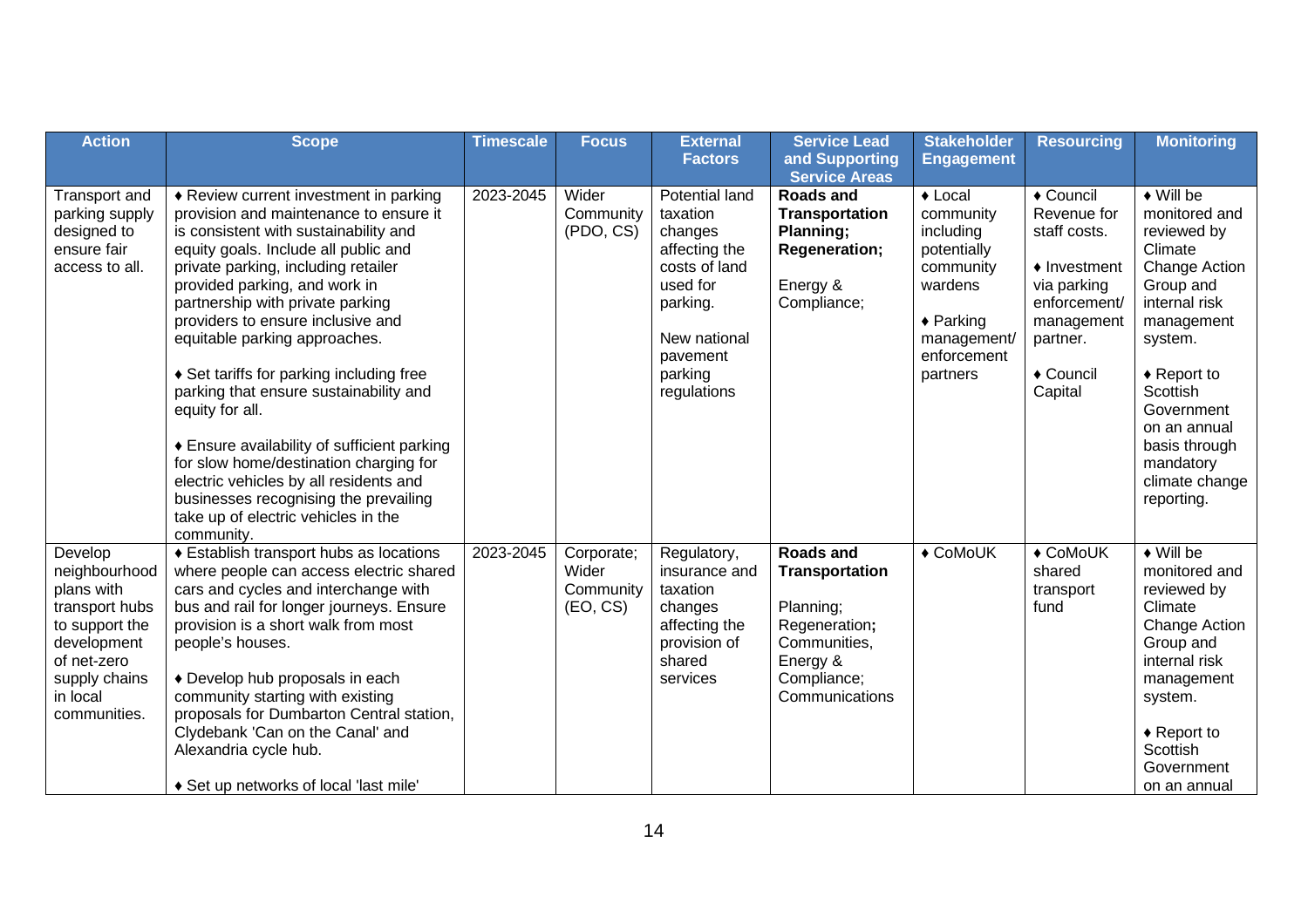| <b>Action</b>                                                                                                                                         | <b>Scope</b>                                                                                                                                                                                                                                                                                                                                                                                                                                                                                                                                                                                                                                                                                  | <b>Timescale</b> | <b>Focus</b>                                 | <b>External</b>                                                                                                                                              | <b>Service Lead</b>                                                                                                                  | <b>Stakeholder</b>                                                                                                                                  | <b>Resourcing</b>                                                                                                                                   | <b>Monitoring</b>                                                                                                                                                                                                                                                           |
|-------------------------------------------------------------------------------------------------------------------------------------------------------|-----------------------------------------------------------------------------------------------------------------------------------------------------------------------------------------------------------------------------------------------------------------------------------------------------------------------------------------------------------------------------------------------------------------------------------------------------------------------------------------------------------------------------------------------------------------------------------------------------------------------------------------------------------------------------------------------|------------------|----------------------------------------------|--------------------------------------------------------------------------------------------------------------------------------------------------------------|--------------------------------------------------------------------------------------------------------------------------------------|-----------------------------------------------------------------------------------------------------------------------------------------------------|-----------------------------------------------------------------------------------------------------------------------------------------------------|-----------------------------------------------------------------------------------------------------------------------------------------------------------------------------------------------------------------------------------------------------------------------------|
|                                                                                                                                                       |                                                                                                                                                                                                                                                                                                                                                                                                                                                                                                                                                                                                                                                                                               |                  |                                              | <b>Factors</b>                                                                                                                                               | and Supporting                                                                                                                       | <b>Engagement</b>                                                                                                                                   |                                                                                                                                                     |                                                                                                                                                                                                                                                                             |
| Transport and<br>parking supply<br>designed to<br>ensure fair<br>access to all.                                                                       | ♦ Review current investment in parking<br>provision and maintenance to ensure it<br>is consistent with sustainability and<br>equity goals. Include all public and<br>private parking, including retailer<br>provided parking, and work in<br>partnership with private parking<br>providers to ensure inclusive and<br>equitable parking approaches.<br>♦ Set tariffs for parking including free<br>parking that ensure sustainability and<br>equity for all.<br>♦ Ensure availability of sufficient parking<br>for slow home/destination charging for<br>electric vehicles by all residents and<br>businesses recognising the prevailing<br>take up of electric vehicles in the<br>community. | 2023-2045        | Wider<br>Community<br>(PDO, CS)              | <b>Potential land</b><br>taxation<br>changes<br>affecting the<br>costs of land<br>used for<br>parking.<br>New national<br>pavement<br>parking<br>regulations | <b>Service Areas</b><br><b>Roads and</b><br><b>Transportation</b><br>Planning;<br><b>Regeneration;</b><br>Energy &<br>Compliance;    | $\triangle$ Local<br>community<br>including<br>potentially<br>community<br>wardens<br>$\triangle$ Parking<br>management/<br>enforcement<br>partners | ◆ Council<br>Revenue for<br>staff costs.<br>$\triangle$ Investment<br>via parking<br>enforcement/<br>management<br>partner.<br>◆ Council<br>Capital | $\blacklozenge$ Will be<br>monitored and<br>reviewed by<br>Climate<br>Change Action<br>Group and<br>internal risk<br>management<br>system.<br>$\triangle$ Report to<br>Scottish<br>Government<br>on an annual<br>basis through<br>mandatory<br>climate change<br>reporting. |
| Develop<br>neighbourhood<br>plans with<br>transport hubs<br>to support the<br>development<br>of net-zero<br>supply chains<br>in local<br>communities. | ♦ Establish transport hubs as locations<br>where people can access electric shared<br>cars and cycles and interchange with<br>bus and rail for longer journeys. Ensure<br>provision is a short walk from most<br>people's houses.<br>◆ Develop hub proposals in each<br>community starting with existing<br>proposals for Dumbarton Central station,<br>Clydebank 'Can on the Canal' and<br>Alexandria cycle hub.<br>♦ Set up networks of local 'last mile'                                                                                                                                                                                                                                   | 2023-2045        | Corporate;<br>Wider<br>Community<br>(EO, CS) | Regulatory,<br>insurance and<br>taxation<br>changes<br>affecting the<br>provision of<br>shared<br>services                                                   | <b>Roads and</b><br><b>Transportation</b><br>Planning;<br>Regeneration;<br>Communities,<br>Energy &<br>Compliance;<br>Communications | ◆ CoMoUK                                                                                                                                            | ◆ CoMoUK<br>shared<br>transport<br>fund                                                                                                             | $\leftrightarrow$ Will be<br>monitored and<br>reviewed by<br>Climate<br>Change Action<br>Group and<br>internal risk<br>management<br>system.<br>$\triangle$ Report to<br>Scottish<br>Government<br>on an annual                                                             |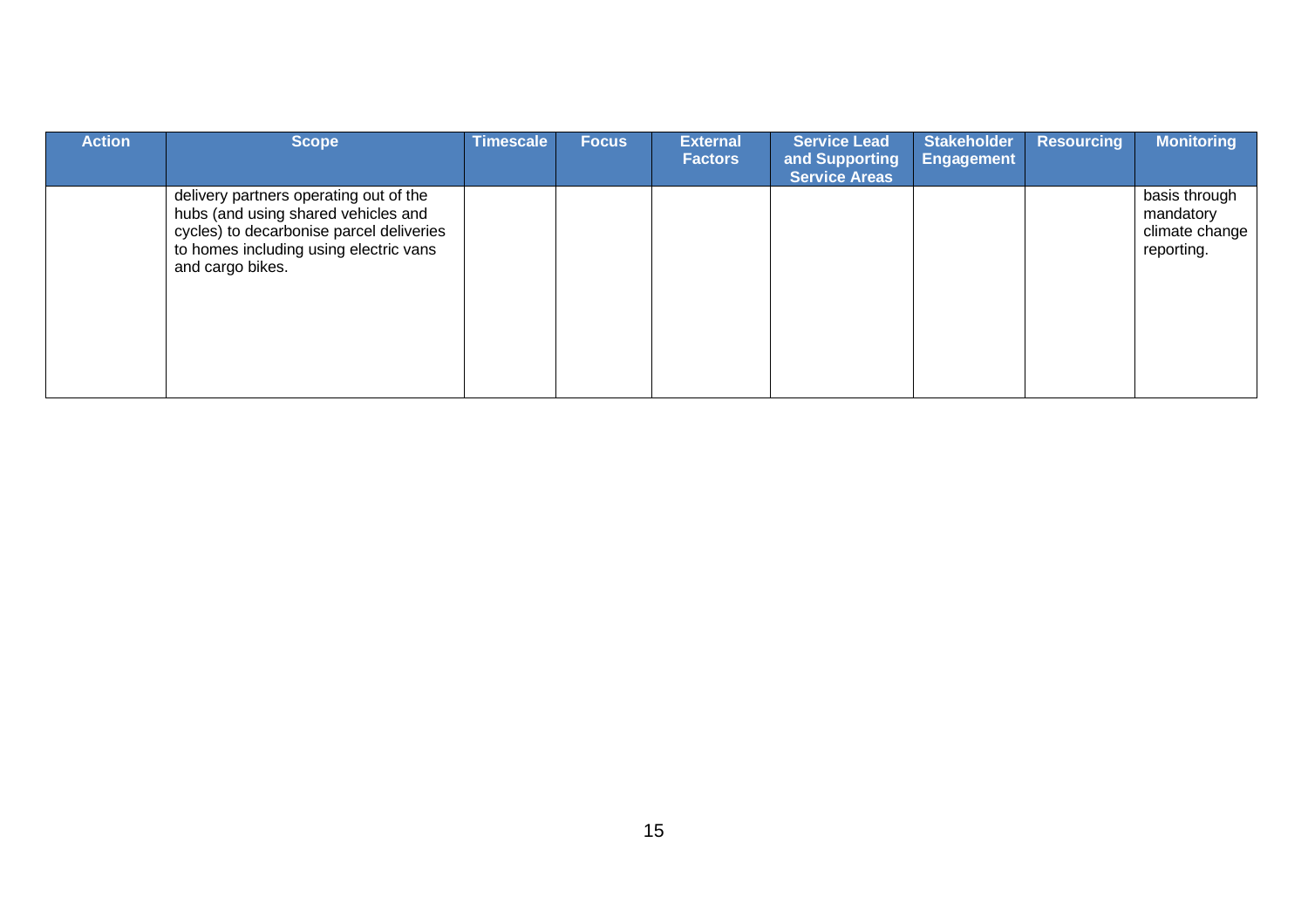| <b>Action</b> | <b>Scope</b>                                                                                                                                                                            | Timescale | <b>Focus</b> | <b>External</b><br><b>Factors</b> | <b>Service Lead</b><br>and Supporting<br><b>Service Areas</b> | <b>Stakeholder</b><br><b>Engagement</b> | <b>Resourcing</b> | <b>Monitoring</b>                                          |
|---------------|-----------------------------------------------------------------------------------------------------------------------------------------------------------------------------------------|-----------|--------------|-----------------------------------|---------------------------------------------------------------|-----------------------------------------|-------------------|------------------------------------------------------------|
|               | delivery partners operating out of the<br>hubs (and using shared vehicles and<br>cycles) to decarbonise parcel deliveries<br>to homes including using electric vans<br>and cargo bikes. |           |              |                                   |                                                               |                                         |                   | basis through<br>mandatory<br>climate change<br>reporting. |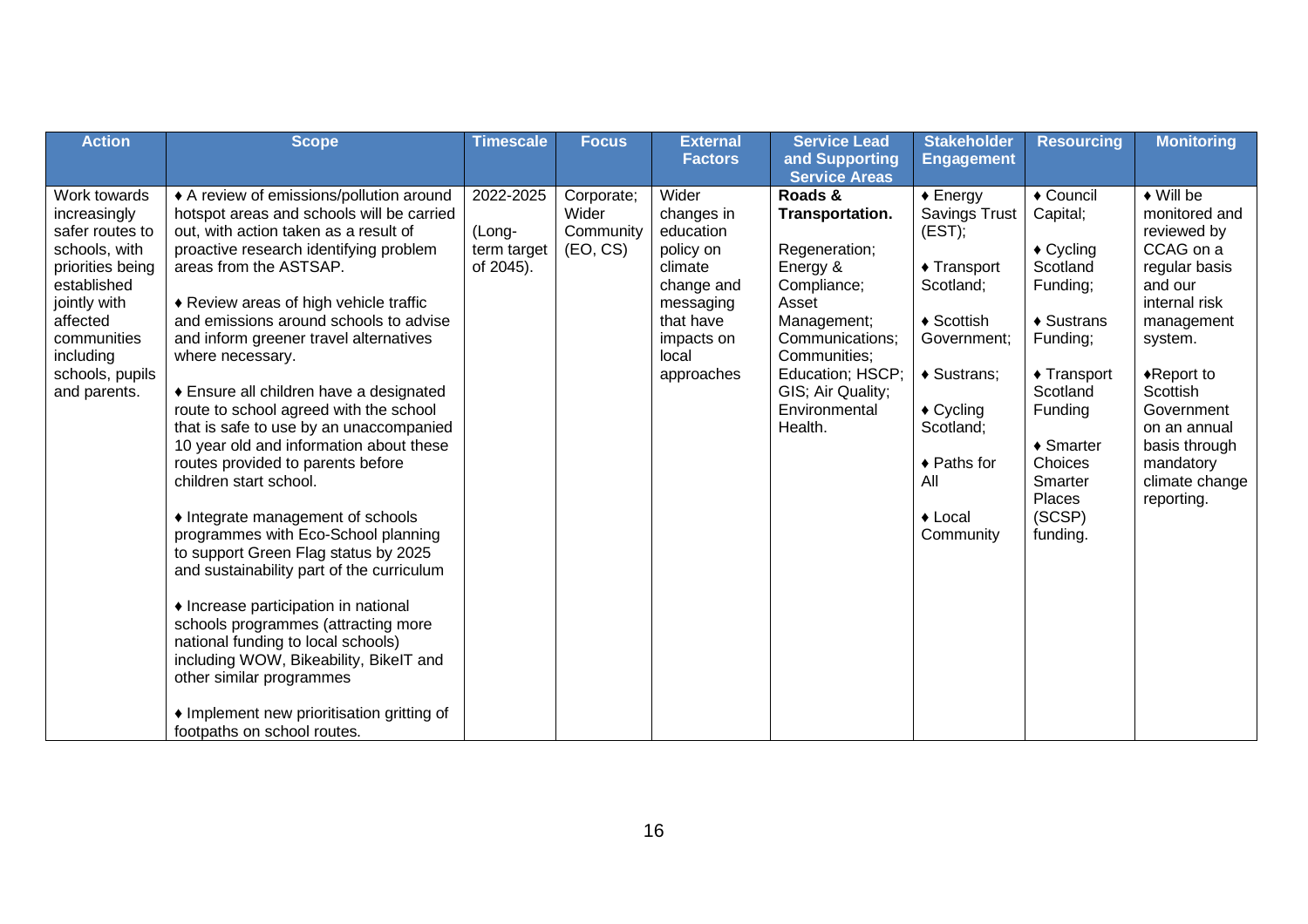| <b>Action</b>                                                                                                                                                                                  | <b>Scope</b>                                                                                                                                                                                                                                                                                                                                                                                                                                                                                                                                                                                                                                                                                                                                                                                                                                                                                                                                                                                                                            | <b>Timescale</b>                                | <b>Focus</b>                                 | <b>External</b>                                                                                                                       | <b>Service Lead</b>                                                                                                                                                                                    | <b>Stakeholder</b>                                                                                                                                                                                                                 | <b>Resourcing</b>                                                                                                                                                                                                                         | <b>Monitoring</b>                                                                                                                                                                                                                                                           |
|------------------------------------------------------------------------------------------------------------------------------------------------------------------------------------------------|-----------------------------------------------------------------------------------------------------------------------------------------------------------------------------------------------------------------------------------------------------------------------------------------------------------------------------------------------------------------------------------------------------------------------------------------------------------------------------------------------------------------------------------------------------------------------------------------------------------------------------------------------------------------------------------------------------------------------------------------------------------------------------------------------------------------------------------------------------------------------------------------------------------------------------------------------------------------------------------------------------------------------------------------|-------------------------------------------------|----------------------------------------------|---------------------------------------------------------------------------------------------------------------------------------------|--------------------------------------------------------------------------------------------------------------------------------------------------------------------------------------------------------|------------------------------------------------------------------------------------------------------------------------------------------------------------------------------------------------------------------------------------|-------------------------------------------------------------------------------------------------------------------------------------------------------------------------------------------------------------------------------------------|-----------------------------------------------------------------------------------------------------------------------------------------------------------------------------------------------------------------------------------------------------------------------------|
|                                                                                                                                                                                                |                                                                                                                                                                                                                                                                                                                                                                                                                                                                                                                                                                                                                                                                                                                                                                                                                                                                                                                                                                                                                                         |                                                 |                                              | <b>Factors</b>                                                                                                                        | and Supporting                                                                                                                                                                                         | <b>Engagement</b>                                                                                                                                                                                                                  |                                                                                                                                                                                                                                           |                                                                                                                                                                                                                                                                             |
|                                                                                                                                                                                                |                                                                                                                                                                                                                                                                                                                                                                                                                                                                                                                                                                                                                                                                                                                                                                                                                                                                                                                                                                                                                                         |                                                 |                                              |                                                                                                                                       | <b>Service Areas</b>                                                                                                                                                                                   |                                                                                                                                                                                                                                    |                                                                                                                                                                                                                                           |                                                                                                                                                                                                                                                                             |
| Work towards<br>increasingly<br>safer routes to<br>schools, with<br>priorities being<br>established<br>jointly with<br>affected<br>communities<br>including<br>schools, pupils<br>and parents. | ♦ A review of emissions/pollution around<br>hotspot areas and schools will be carried<br>out, with action taken as a result of<br>proactive research identifying problem<br>areas from the ASTSAP.<br>♦ Review areas of high vehicle traffic<br>and emissions around schools to advise<br>and inform greener travel alternatives<br>where necessary.<br>◆ Ensure all children have a designated<br>route to school agreed with the school<br>that is safe to use by an unaccompanied<br>10 year old and information about these<br>routes provided to parents before<br>children start school.<br>• Integrate management of schools<br>programmes with Eco-School planning<br>to support Green Flag status by 2025<br>and sustainability part of the curriculum<br>• Increase participation in national<br>schools programmes (attracting more<br>national funding to local schools)<br>including WOW, Bikeability, BikelT and<br>other similar programmes<br>• Implement new prioritisation gritting of<br>footpaths on school routes. | 2022-2025<br>(Long-<br>term target<br>of 2045). | Corporate;<br>Wider<br>Community<br>(EO, CS) | Wider<br>changes in<br>education<br>policy on<br>climate<br>change and<br>messaging<br>that have<br>impacts on<br>local<br>approaches | Roads &<br>Transportation.<br>Regeneration;<br>Energy &<br>Compliance;<br>Asset<br>Management;<br>Communications;<br>Communities;<br>Education; HSCP;<br>GIS; Air Quality;<br>Environmental<br>Health. | $\triangle$ Energy<br><b>Savings Trust</b><br>(EST);<br>$\triangle$ Transport<br>Scotland;<br>♦ Scottish<br>Government;<br>♦ Sustrans;<br>$\triangle$ Cycling<br>Scotland;<br>◆ Paths for<br>All<br>$\triangle$ Local<br>Community | ◆ Council<br>Capital;<br>$\triangle$ Cycling<br>Scotland<br>Funding;<br>$\triangleleft$ Sustrans<br>Funding;<br>$\triangle$ Transport<br>Scotland<br>Funding<br>$\triangle$ Smarter<br>Choices<br>Smarter<br>Places<br>(SCSP)<br>funding. | $\blacklozenge$ Will be<br>monitored and<br>reviewed by<br>CCAG on a<br>regular basis<br>and our<br>internal risk<br>management<br>system.<br>$\triangle$ Report to<br>Scottish<br>Government<br>on an annual<br>basis through<br>mandatory<br>climate change<br>reporting. |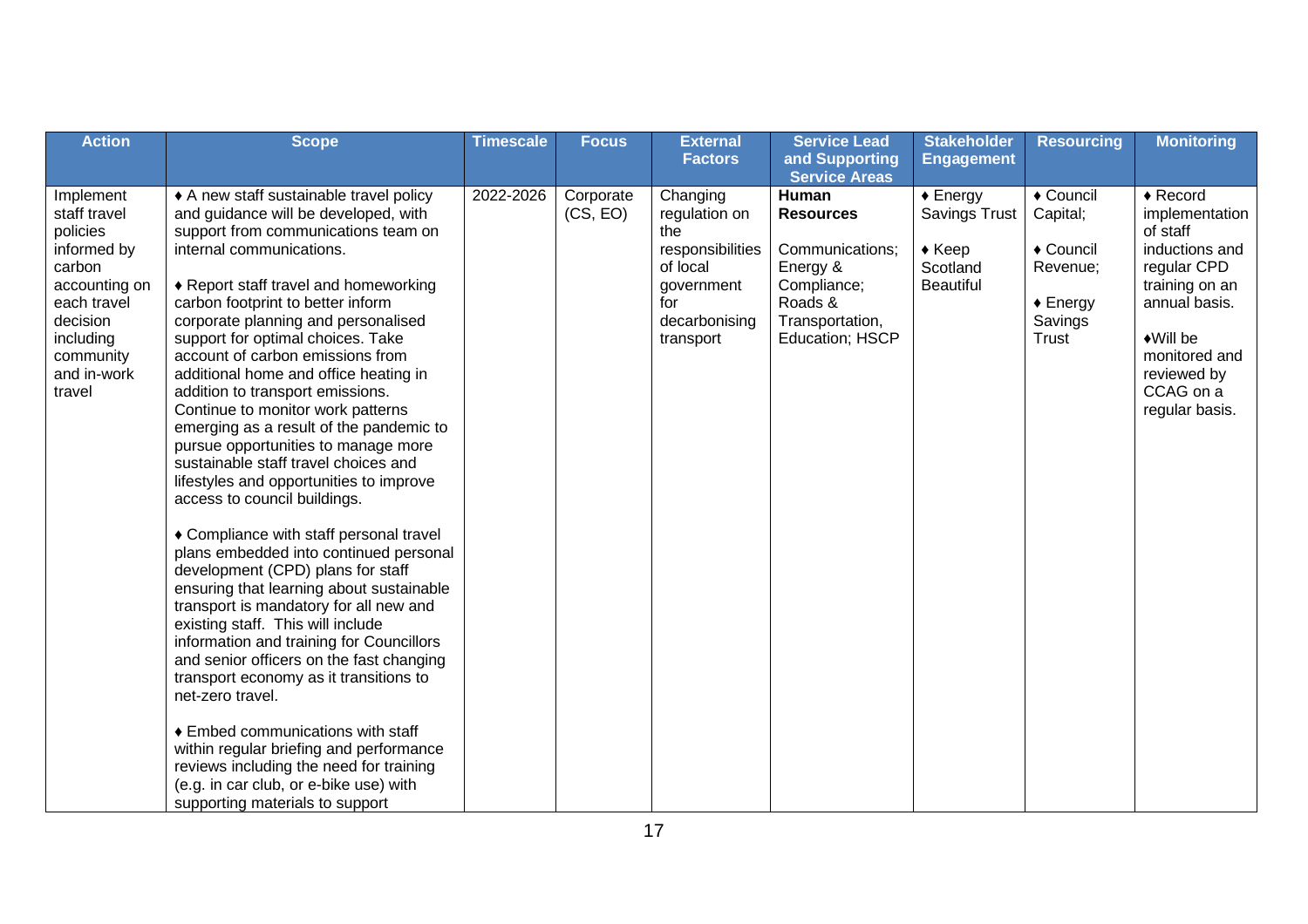| <b>Action</b>                                                                                                                                                 | <b>Scope</b>                                                                                                                                                                                                                                                                                                                                                                                                                                                                                                                                                                                                                                                                                                                                                                                                                                                                                                                                                                                                                                                                                                                                                                                                                                                                               | <b>Timescale</b> | <b>Focus</b>          | <b>External</b><br><b>Factors</b>                                                                                   | <b>Service Lead</b><br>and Supporting                                                                                    | <b>Stakeholder</b><br><b>Engagement</b>                                                 | <b>Resourcing</b>                                                                        | <b>Monitoring</b>                                                                                                                                                                                          |
|---------------------------------------------------------------------------------------------------------------------------------------------------------------|--------------------------------------------------------------------------------------------------------------------------------------------------------------------------------------------------------------------------------------------------------------------------------------------------------------------------------------------------------------------------------------------------------------------------------------------------------------------------------------------------------------------------------------------------------------------------------------------------------------------------------------------------------------------------------------------------------------------------------------------------------------------------------------------------------------------------------------------------------------------------------------------------------------------------------------------------------------------------------------------------------------------------------------------------------------------------------------------------------------------------------------------------------------------------------------------------------------------------------------------------------------------------------------------|------------------|-----------------------|---------------------------------------------------------------------------------------------------------------------|--------------------------------------------------------------------------------------------------------------------------|-----------------------------------------------------------------------------------------|------------------------------------------------------------------------------------------|------------------------------------------------------------------------------------------------------------------------------------------------------------------------------------------------------------|
|                                                                                                                                                               |                                                                                                                                                                                                                                                                                                                                                                                                                                                                                                                                                                                                                                                                                                                                                                                                                                                                                                                                                                                                                                                                                                                                                                                                                                                                                            |                  |                       |                                                                                                                     | <b>Service Areas</b>                                                                                                     |                                                                                         |                                                                                          |                                                                                                                                                                                                            |
| Implement<br>staff travel<br>policies<br>informed by<br>carbon<br>accounting on<br>each travel<br>decision<br>including<br>community<br>and in-work<br>travel | • A new staff sustainable travel policy<br>and guidance will be developed, with<br>support from communications team on<br>internal communications.<br>♦ Report staff travel and homeworking<br>carbon footprint to better inform<br>corporate planning and personalised<br>support for optimal choices. Take<br>account of carbon emissions from<br>additional home and office heating in<br>addition to transport emissions.<br>Continue to monitor work patterns<br>emerging as a result of the pandemic to<br>pursue opportunities to manage more<br>sustainable staff travel choices and<br>lifestyles and opportunities to improve<br>access to council buildings.<br>♦ Compliance with staff personal travel<br>plans embedded into continued personal<br>development (CPD) plans for staff<br>ensuring that learning about sustainable<br>transport is mandatory for all new and<br>existing staff. This will include<br>information and training for Councillors<br>and senior officers on the fast changing<br>transport economy as it transitions to<br>net-zero travel.<br>♦ Embed communications with staff<br>within regular briefing and performance<br>reviews including the need for training<br>(e.g. in car club, or e-bike use) with<br>supporting materials to support | 2022-2026        | Corporate<br>(CS, EO) | Changing<br>regulation on<br>the<br>responsibilities<br>of local<br>government<br>for<br>decarbonising<br>transport | Human<br><b>Resources</b><br>Communications;<br>Energy &<br>Compliance;<br>Roads &<br>Transportation,<br>Education; HSCP | $\triangle$ Energy<br>Savings Trust<br>$\triangle$ Keep<br>Scotland<br><b>Beautiful</b> | ◆ Council<br>Capital;<br>◆ Council<br>Revenue;<br>$\triangle$ Energy<br>Savings<br>Trust | $\triangle$ Record<br>implementation<br>of staff<br>inductions and<br>regular CPD<br>training on an<br>annual basis.<br>$\triangle$ Will be<br>monitored and<br>reviewed by<br>CCAG on a<br>regular basis. |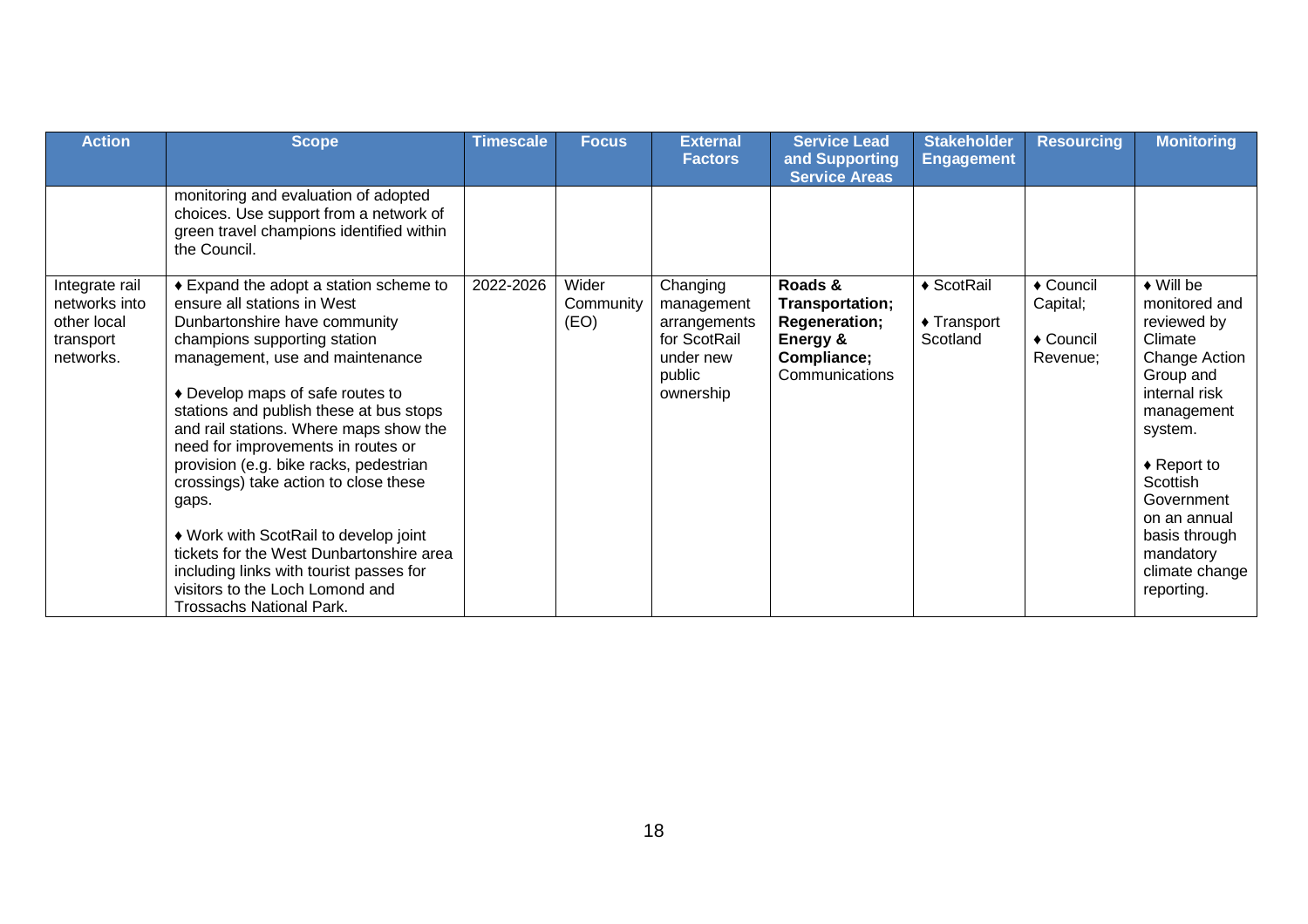| <b>Action</b>                                                            | <b>Scope</b>                                                                                                                                                                                                                                                                                                                                                                                                                                                                                                                                                                                                                               | <b>Timescale</b> | <b>Focus</b>               | <b>External</b><br><b>Factors</b>                                                          | <b>Service Lead</b><br>and Supporting<br><b>Service Areas</b>                            | <b>Stakeholder</b><br><b>Engagement</b>         | <b>Resourcing</b>                                        | <b>Monitoring</b>                                                                                                                                                                                                                                                           |
|--------------------------------------------------------------------------|--------------------------------------------------------------------------------------------------------------------------------------------------------------------------------------------------------------------------------------------------------------------------------------------------------------------------------------------------------------------------------------------------------------------------------------------------------------------------------------------------------------------------------------------------------------------------------------------------------------------------------------------|------------------|----------------------------|--------------------------------------------------------------------------------------------|------------------------------------------------------------------------------------------|-------------------------------------------------|----------------------------------------------------------|-----------------------------------------------------------------------------------------------------------------------------------------------------------------------------------------------------------------------------------------------------------------------------|
|                                                                          | monitoring and evaluation of adopted<br>choices. Use support from a network of<br>green travel champions identified within<br>the Council.                                                                                                                                                                                                                                                                                                                                                                                                                                                                                                 |                  |                            |                                                                                            |                                                                                          |                                                 |                                                          |                                                                                                                                                                                                                                                                             |
| Integrate rail<br>networks into<br>other local<br>transport<br>networks. | ♦ Expand the adopt a station scheme to<br>ensure all stations in West<br>Dunbartonshire have community<br>champions supporting station<br>management, use and maintenance<br>♦ Develop maps of safe routes to<br>stations and publish these at bus stops<br>and rail stations. Where maps show the<br>need for improvements in routes or<br>provision (e.g. bike racks, pedestrian<br>crossings) take action to close these<br>gaps.<br>♦ Work with ScotRail to develop joint<br>tickets for the West Dunbartonshire area<br>including links with tourist passes for<br>visitors to the Loch Lomond and<br><b>Trossachs National Park.</b> | 2022-2026        | Wider<br>Community<br>(EO) | Changing<br>management<br>arrangements<br>for ScotRail<br>under new<br>public<br>ownership | Roads &<br>Transportation;<br>Regeneration;<br>Energy &<br>Compliance;<br>Communications | ◆ ScotRail<br>$\triangle$ Transport<br>Scotland | ◆ Council<br>Capital;<br>$\triangle$ Council<br>Revenue; | $\blacklozenge$ Will be<br>monitored and<br>reviewed by<br>Climate<br>Change Action<br>Group and<br>internal risk<br>management<br>system.<br>$\triangle$ Report to<br>Scottish<br>Government<br>on an annual<br>basis through<br>mandatory<br>climate change<br>reporting. |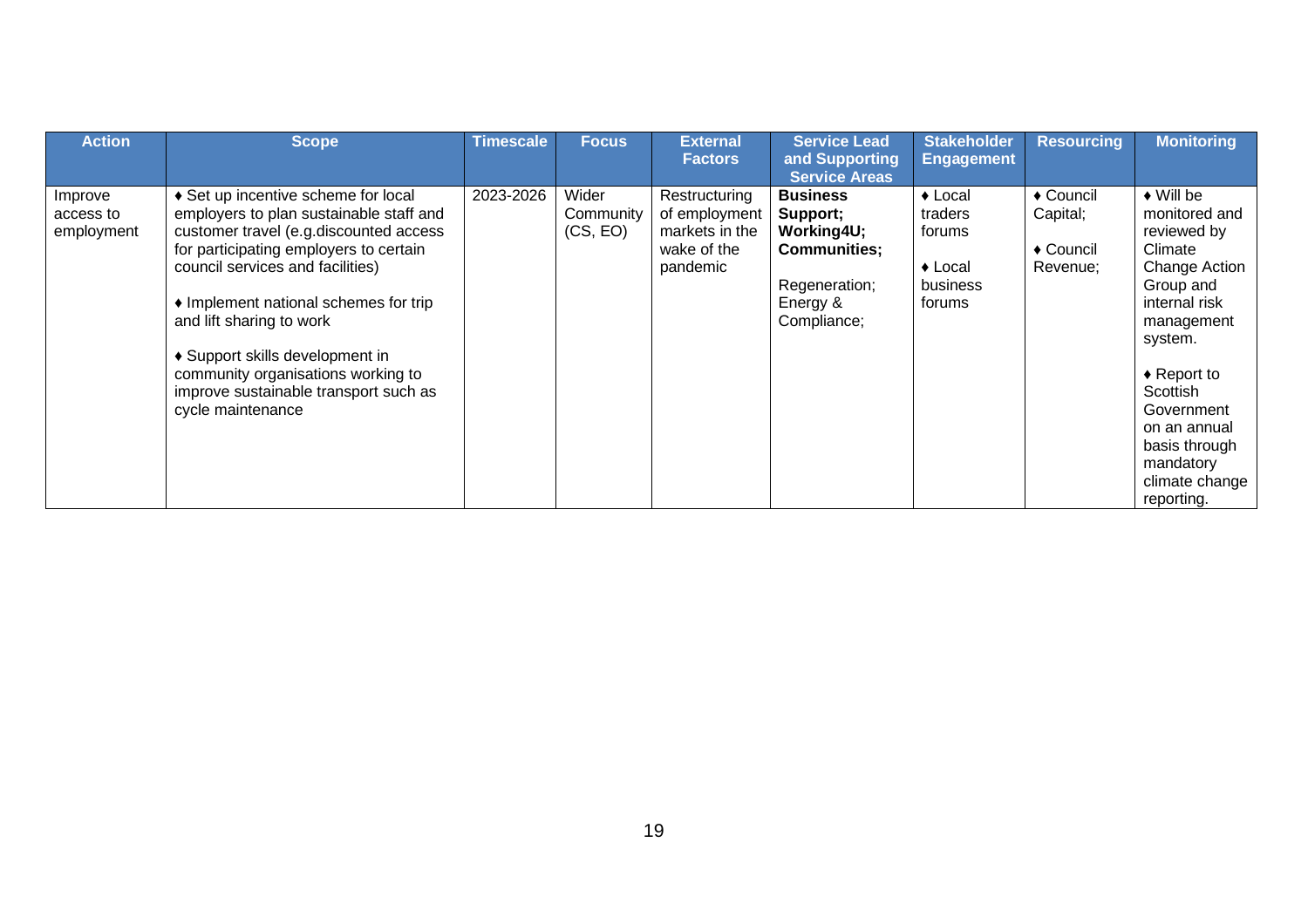| <b>Action</b>                      | <b>Scope</b>                                                                                                                                                                                                                                                                                                                                                                                                       | <b>Timescale</b> | <b>Focus</b>                   | <b>External</b><br><b>Factors</b>                                           | <b>Service Lead</b><br>and Supporting<br><b>Service Areas</b>                                                | <b>Stakeholder</b><br><b>Engagement</b>                                           | <b>Resourcing</b>                              | <b>Monitoring</b>                                                                                                                                                                                                                                                     |
|------------------------------------|--------------------------------------------------------------------------------------------------------------------------------------------------------------------------------------------------------------------------------------------------------------------------------------------------------------------------------------------------------------------------------------------------------------------|------------------|--------------------------------|-----------------------------------------------------------------------------|--------------------------------------------------------------------------------------------------------------|-----------------------------------------------------------------------------------|------------------------------------------------|-----------------------------------------------------------------------------------------------------------------------------------------------------------------------------------------------------------------------------------------------------------------------|
| Improve<br>access to<br>employment | ♦ Set up incentive scheme for local<br>employers to plan sustainable staff and<br>customer travel (e.g.discounted access<br>for participating employers to certain<br>council services and facilities)<br>• Implement national schemes for trip<br>and lift sharing to work<br>♦ Support skills development in<br>community organisations working to<br>improve sustainable transport such as<br>cycle maintenance | 2023-2026        | Wider<br>Community<br>(CS, EO) | Restructuring<br>of employment<br>markets in the<br>wake of the<br>pandemic | <b>Business</b><br>Support;<br>Working4U;<br><b>Communities;</b><br>Regeneration;<br>Energy &<br>Compliance; | $\triangle$ Local<br>traders<br>forums<br>$\triangle$ Local<br>business<br>forums | ◆ Council<br>Capital;<br>◆ Council<br>Revenue; | $\bullet$ Will be<br>monitored and<br>reviewed by<br>Climate<br>Change Action<br>Group and<br>internal risk<br>management<br>system.<br>$\triangle$ Report to<br>Scottish<br>Government<br>on an annual<br>basis through<br>mandatory<br>climate change<br>reporting. |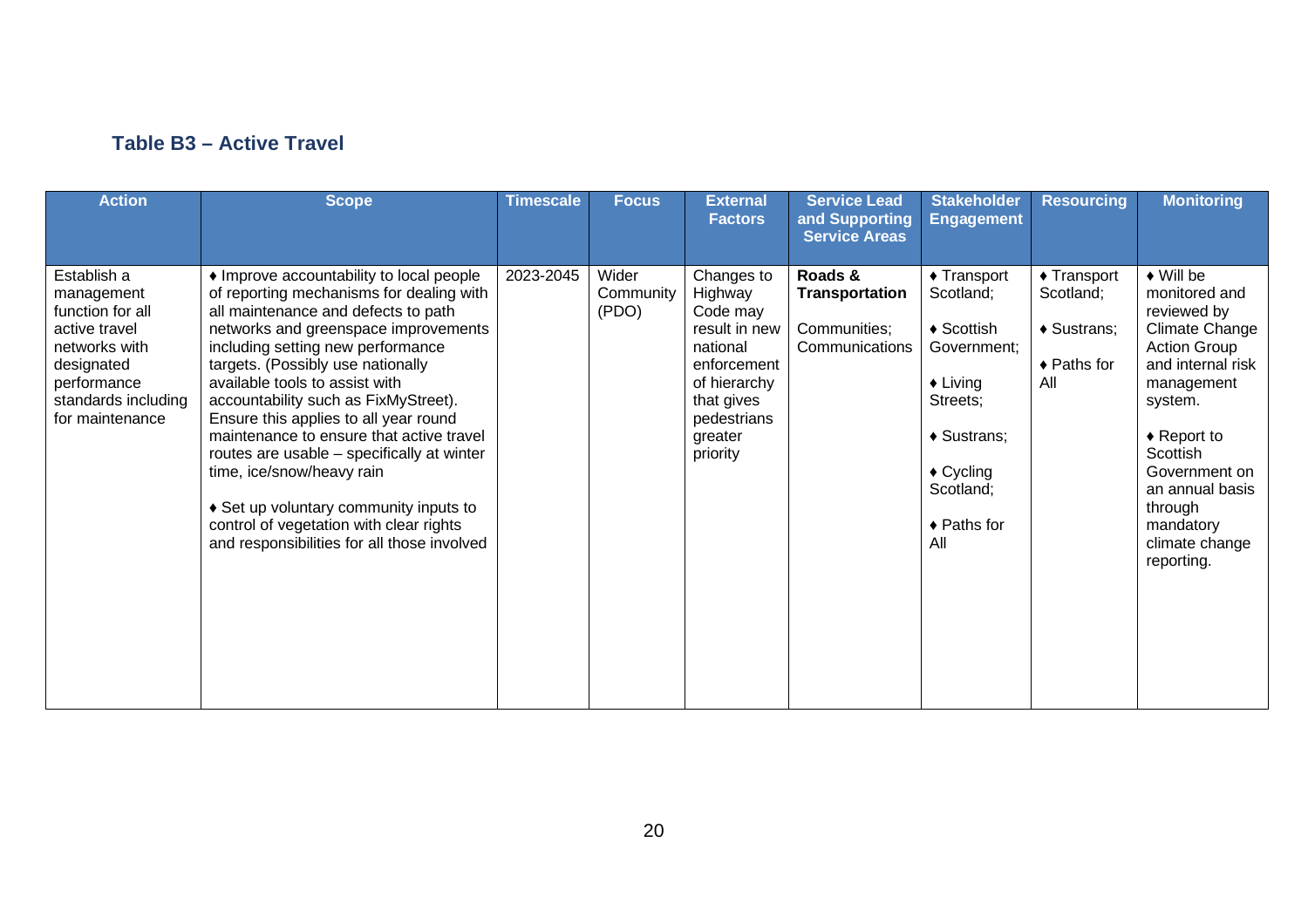#### **Table B3 – Active Travel**

| <b>Action</b>                                                                                                                                          | <b>Scope</b>                                                                                                                                                                                                                                                                                                                                                                                                                                                                                                                                                                                                                | <b>Timescale</b> | <b>Focus</b>                | <b>External</b><br><b>Factors</b>                                                                                                                 | <b>Service Lead</b><br>and Supporting<br><b>Service Areas</b> | <b>Stakeholder</b><br><b>Engagement</b>                                                                                                                                              | <b>Resourcing</b>                                                                 | <b>Monitoring</b>                                                                                                                                                                                                                                                               |
|--------------------------------------------------------------------------------------------------------------------------------------------------------|-----------------------------------------------------------------------------------------------------------------------------------------------------------------------------------------------------------------------------------------------------------------------------------------------------------------------------------------------------------------------------------------------------------------------------------------------------------------------------------------------------------------------------------------------------------------------------------------------------------------------------|------------------|-----------------------------|---------------------------------------------------------------------------------------------------------------------------------------------------|---------------------------------------------------------------|--------------------------------------------------------------------------------------------------------------------------------------------------------------------------------------|-----------------------------------------------------------------------------------|---------------------------------------------------------------------------------------------------------------------------------------------------------------------------------------------------------------------------------------------------------------------------------|
| Establish a<br>management<br>function for all<br>active travel<br>networks with<br>designated<br>performance<br>standards including<br>for maintenance | • Improve accountability to local people<br>of reporting mechanisms for dealing with<br>all maintenance and defects to path<br>networks and greenspace improvements<br>including setting new performance<br>targets. (Possibly use nationally<br>available tools to assist with<br>accountability such as FixMyStreet).<br>Ensure this applies to all year round<br>maintenance to ensure that active travel<br>routes are usable - specifically at winter<br>time, ice/snow/heavy rain<br>♦ Set up voluntary community inputs to<br>control of vegetation with clear rights<br>and responsibilities for all those involved | 2023-2045        | Wider<br>Community<br>(PDO) | Changes to<br>Highway<br>Code may<br>result in new<br>national<br>enforcement<br>of hierarchy<br>that gives<br>pedestrians<br>greater<br>priority | Roads &<br>Transportation<br>Communities;<br>Communications   | $\triangle$ Transport<br>Scotland;<br>$\triangle$ Scottish<br>Government:<br>$\triangle$ Living<br>Streets;<br>◆ Sustrans;<br>$\triangle$ Cycling<br>Scotland;<br>◆ Paths for<br>All | $\triangle$ Transport<br>Scotland;<br>♦ Sustrans;<br>$\triangle$ Paths for<br>All | $\blacklozenge$ Will be<br>monitored and<br>reviewed by<br>Climate Change<br><b>Action Group</b><br>and internal risk<br>management<br>system.<br>$\triangle$ Report to<br>Scottish<br>Government on<br>an annual basis<br>through<br>mandatory<br>climate change<br>reporting. |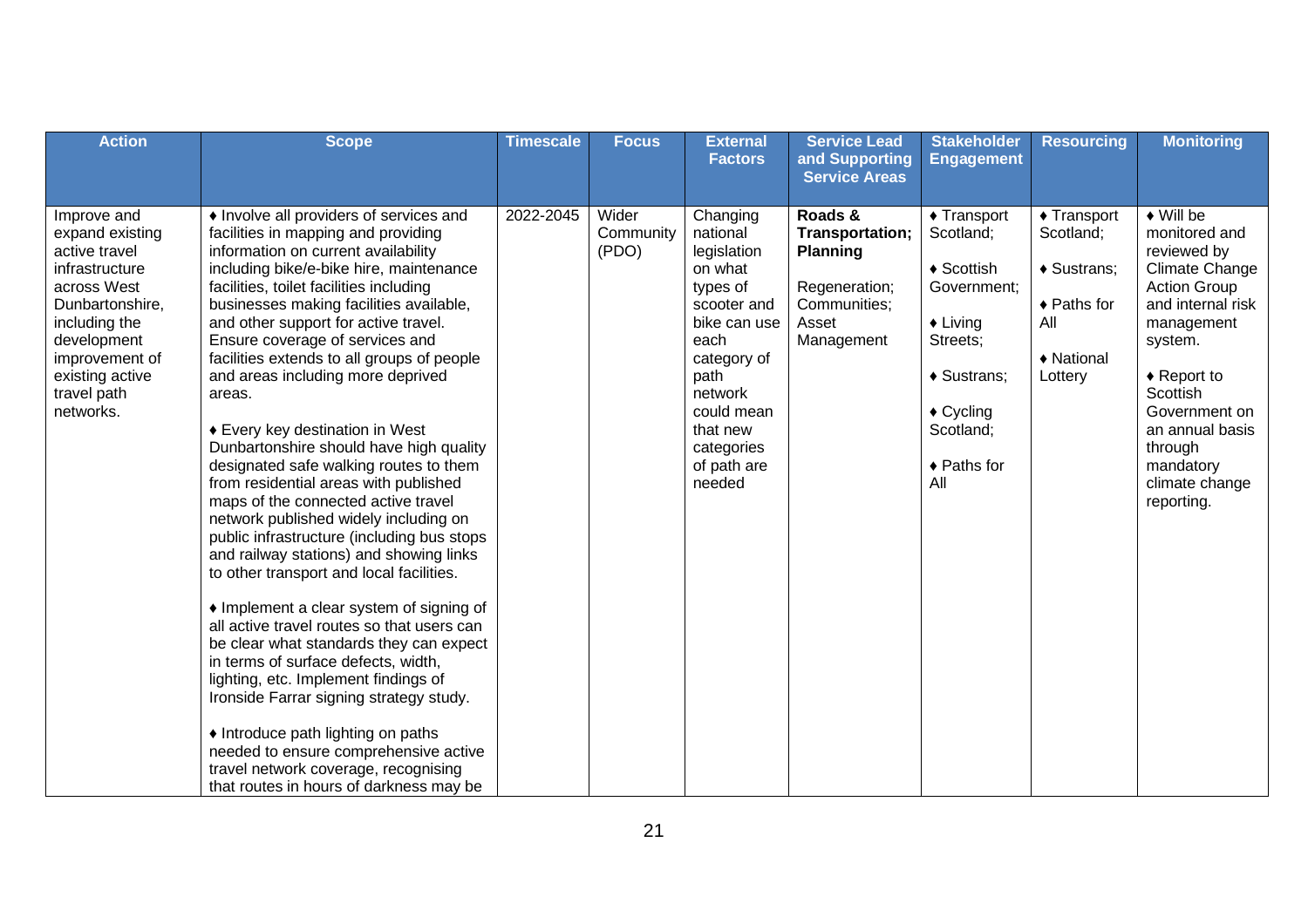| <b>Action</b>                                                                                                                                                                                        | <b>Scope</b>                                                                                                                                                                                                                                                                                                                                                                                                                                                                                                                                                                                                                                                                                                                                                                                                                                                                                                                                                                                                                                                                                                                                                                                                                                          | <b>Timescale</b> | <b>Focus</b>                | <b>External</b><br><b>Factors</b>                                                                                                                                                                    | <b>Service Lead</b><br>and Supporting                                                                 | <b>Stakeholder</b><br><b>Engagement</b>                                                                                                                                              | <b>Resourcing</b>                                                                                | <b>Monitoring</b>                                                                                                                                                                                                                                                               |
|------------------------------------------------------------------------------------------------------------------------------------------------------------------------------------------------------|-------------------------------------------------------------------------------------------------------------------------------------------------------------------------------------------------------------------------------------------------------------------------------------------------------------------------------------------------------------------------------------------------------------------------------------------------------------------------------------------------------------------------------------------------------------------------------------------------------------------------------------------------------------------------------------------------------------------------------------------------------------------------------------------------------------------------------------------------------------------------------------------------------------------------------------------------------------------------------------------------------------------------------------------------------------------------------------------------------------------------------------------------------------------------------------------------------------------------------------------------------|------------------|-----------------------------|------------------------------------------------------------------------------------------------------------------------------------------------------------------------------------------------------|-------------------------------------------------------------------------------------------------------|--------------------------------------------------------------------------------------------------------------------------------------------------------------------------------------|--------------------------------------------------------------------------------------------------|---------------------------------------------------------------------------------------------------------------------------------------------------------------------------------------------------------------------------------------------------------------------------------|
|                                                                                                                                                                                                      |                                                                                                                                                                                                                                                                                                                                                                                                                                                                                                                                                                                                                                                                                                                                                                                                                                                                                                                                                                                                                                                                                                                                                                                                                                                       |                  |                             |                                                                                                                                                                                                      | <b>Service Areas</b>                                                                                  |                                                                                                                                                                                      |                                                                                                  |                                                                                                                                                                                                                                                                                 |
| Improve and<br>expand existing<br>active travel<br>infrastructure<br>across West<br>Dunbartonshire,<br>including the<br>development<br>improvement of<br>existing active<br>travel path<br>networks. | • Involve all providers of services and<br>facilities in mapping and providing<br>information on current availability<br>including bike/e-bike hire, maintenance<br>facilities, toilet facilities including<br>businesses making facilities available,<br>and other support for active travel.<br>Ensure coverage of services and<br>facilities extends to all groups of people<br>and areas including more deprived<br>areas.<br>◆ Every key destination in West<br>Dunbartonshire should have high quality<br>designated safe walking routes to them<br>from residential areas with published<br>maps of the connected active travel<br>network published widely including on<br>public infrastructure (including bus stops<br>and railway stations) and showing links<br>to other transport and local facilities.<br>• Implement a clear system of signing of<br>all active travel routes so that users can<br>be clear what standards they can expect<br>in terms of surface defects, width,<br>lighting, etc. Implement findings of<br>Ironside Farrar signing strategy study.<br>• Introduce path lighting on paths<br>needed to ensure comprehensive active<br>travel network coverage, recognising<br>that routes in hours of darkness may be | 2022-2045        | Wider<br>Community<br>(PDO) | Changing<br>national<br>legislation<br>on what<br>types of<br>scooter and<br>bike can use<br>each<br>category of<br>path<br>network<br>could mean<br>that new<br>categories<br>of path are<br>needed | Roads &<br>Transportation;<br><b>Planning</b><br>Regeneration;<br>Communities;<br>Asset<br>Management | $\triangle$ Transport<br>Scotland;<br>$\triangle$ Scottish<br>Government:<br>$\triangle$ Living<br>Streets;<br>♦ Sustrans;<br>$\triangle$ Cycling<br>Scotland;<br>◆ Paths for<br>All | $\triangle$ Transport<br>Scotland;<br>♦ Sustrans;<br>◆ Paths for<br>All<br>♦ National<br>Lottery | $\blacklozenge$ Will be<br>monitored and<br>reviewed by<br>Climate Change<br><b>Action Group</b><br>and internal risk<br>management<br>system.<br>$\triangle$ Report to<br>Scottish<br>Government on<br>an annual basis<br>through<br>mandatory<br>climate change<br>reporting. |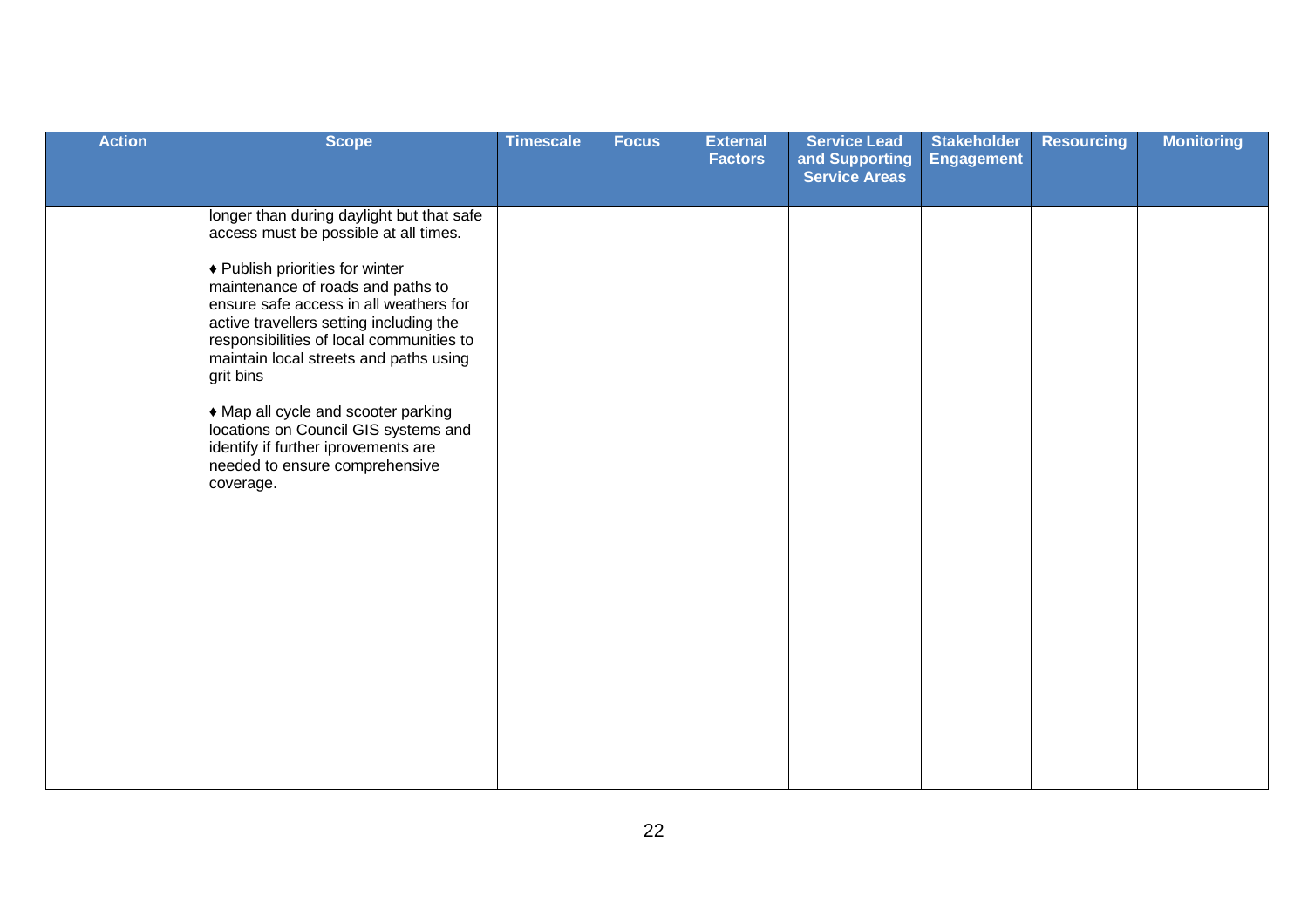| <b>Action</b> | <b>Scope</b>                                                                                                                                                                                                                                                                                                                                                                                                                                                                                                            | <b>Timescale</b> | <b>Focus</b> | <b>External</b><br><b>Factors</b> | <b>Service Lead</b><br>and Supporting<br><b>Service Areas</b> | <b>Stakeholder</b><br><b>Engagement</b> | <b>Resourcing</b> | <b>Monitoring</b> |
|---------------|-------------------------------------------------------------------------------------------------------------------------------------------------------------------------------------------------------------------------------------------------------------------------------------------------------------------------------------------------------------------------------------------------------------------------------------------------------------------------------------------------------------------------|------------------|--------------|-----------------------------------|---------------------------------------------------------------|-----------------------------------------|-------------------|-------------------|
|               | longer than during daylight but that safe<br>access must be possible at all times.<br>♦ Publish priorities for winter<br>maintenance of roads and paths to<br>ensure safe access in all weathers for<br>active travellers setting including the<br>responsibilities of local communities to<br>maintain local streets and paths using<br>grit bins<br>• Map all cycle and scooter parking<br>locations on Council GIS systems and<br>identify if further iprovements are<br>needed to ensure comprehensive<br>coverage. |                  |              |                                   |                                                               |                                         |                   |                   |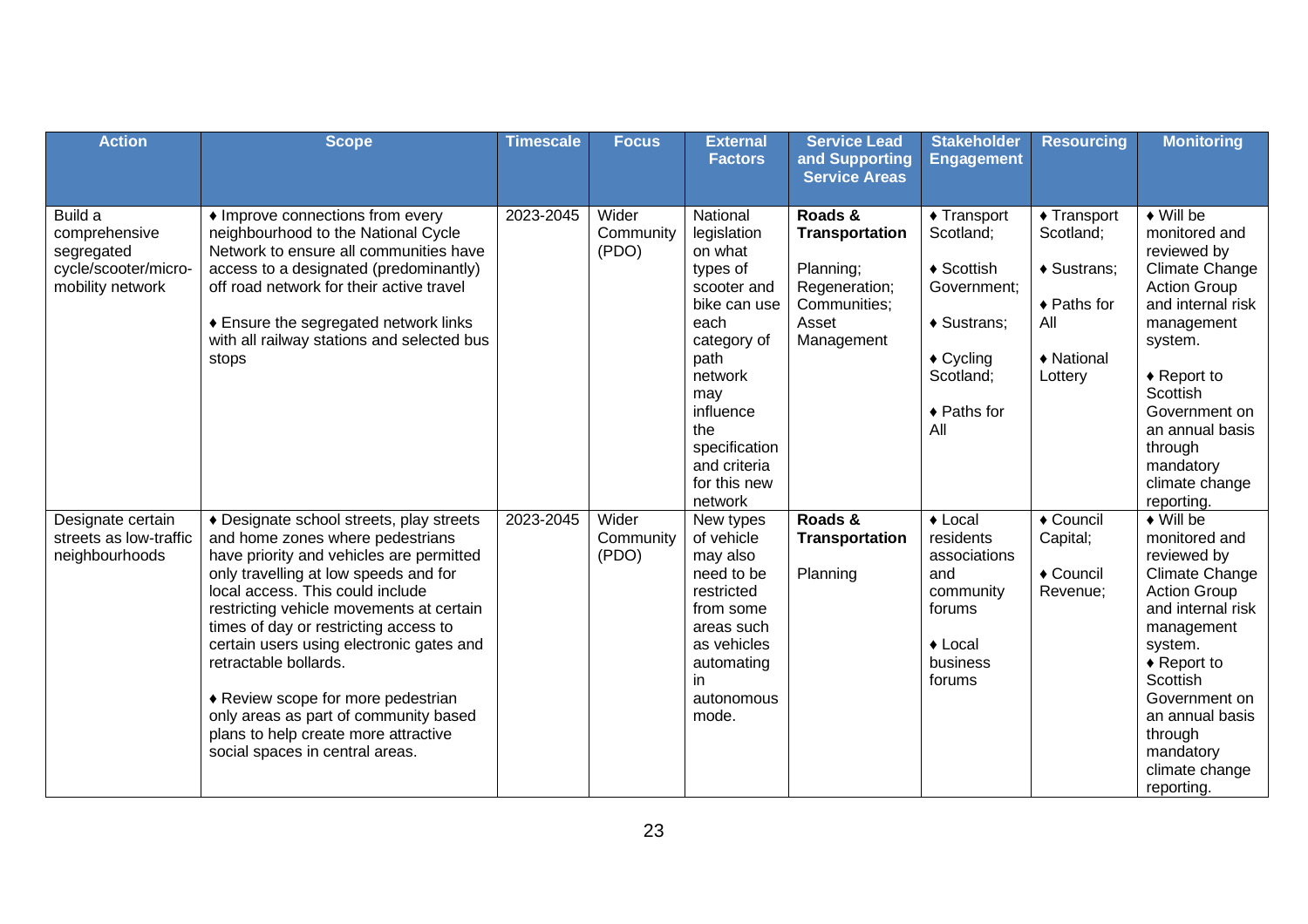| <b>Action</b>                                                                      | <b>Scope</b>                                                                                                                                                                                                                                                                                                                                                                                                                                                                                                              | <b>Timescale</b> | <b>Focus</b>                | <b>External</b><br><b>Factors</b>                                                                                                                                                                              | <b>Service Lead</b><br>and Supporting                                                                 | <b>Stakeholder</b><br><b>Engagement</b>                                                                                                                | <b>Resourcing</b>                                                                                | <b>Monitoring</b>                                                                                                                                                                                                                                                                      |
|------------------------------------------------------------------------------------|---------------------------------------------------------------------------------------------------------------------------------------------------------------------------------------------------------------------------------------------------------------------------------------------------------------------------------------------------------------------------------------------------------------------------------------------------------------------------------------------------------------------------|------------------|-----------------------------|----------------------------------------------------------------------------------------------------------------------------------------------------------------------------------------------------------------|-------------------------------------------------------------------------------------------------------|--------------------------------------------------------------------------------------------------------------------------------------------------------|--------------------------------------------------------------------------------------------------|----------------------------------------------------------------------------------------------------------------------------------------------------------------------------------------------------------------------------------------------------------------------------------------|
|                                                                                    |                                                                                                                                                                                                                                                                                                                                                                                                                                                                                                                           |                  |                             |                                                                                                                                                                                                                | <b>Service Areas</b>                                                                                  |                                                                                                                                                        |                                                                                                  |                                                                                                                                                                                                                                                                                        |
| Build a<br>comprehensive<br>segregated<br>cycle/scooter/micro-<br>mobility network | • Improve connections from every<br>neighbourhood to the National Cycle<br>Network to ensure all communities have<br>access to a designated (predominantly)<br>off road network for their active travel<br>♦ Ensure the segregated network links<br>with all railway stations and selected bus<br>stops                                                                                                                                                                                                                   | 2023-2045        | Wider<br>Community<br>(PDO) | National<br>legislation<br>on what<br>types of<br>scooter and<br>bike can use<br>each<br>category of<br>path<br>network<br>may<br>influence<br>the<br>specification<br>and criteria<br>for this new<br>network | Roads &<br><b>Transportation</b><br>Planning;<br>Regeneration;<br>Communities;<br>Asset<br>Management | $\triangle$ Transport<br>Scotland;<br>$\triangleleft$ Scottish<br>Government;<br>♦ Sustrans;<br>$\triangle$ Cycling<br>Scotland:<br>◆ Paths for<br>All | $\triangle$ Transport<br>Scotland;<br>◆ Sustrans;<br>◆ Paths for<br>All<br>◆ National<br>Lottery | $\bullet$ Will be<br>monitored and<br>reviewed by<br><b>Climate Change</b><br><b>Action Group</b><br>and internal risk<br>management<br>system.<br>$\triangle$ Report to<br>Scottish<br>Government on<br>an annual basis<br>through<br>mandatory<br>climate change<br>reporting.       |
| Designate certain<br>streets as low-traffic<br>neighbourhoods                      | ◆ Designate school streets, play streets<br>and home zones where pedestrians<br>have priority and vehicles are permitted<br>only travelling at low speeds and for<br>local access. This could include<br>restricting vehicle movements at certain<br>times of day or restricting access to<br>certain users using electronic gates and<br>retractable bollards.<br>♦ Review scope for more pedestrian<br>only areas as part of community based<br>plans to help create more attractive<br>social spaces in central areas. | 2023-2045        | Wider<br>Community<br>(PDO) | New types<br>of vehicle<br>may also<br>need to be<br>restricted<br>from some<br>areas such<br>as vehicles<br>automating<br>in<br>autonomous<br>mode.                                                           | Roads &<br><b>Transportation</b><br>Planning                                                          | $\triangle$ Local<br>residents<br>associations<br>and<br>community<br>forums<br>$\triangle$ Local<br>business<br>forums                                | $\overline{\bullet}$ Council<br>Capital;<br>◆ Council<br>Revenue;                                | $\blacklozenge$ Will be<br>monitored and<br>reviewed by<br><b>Climate Change</b><br><b>Action Group</b><br>and internal risk<br>management<br>system.<br>$\triangle$ Report to<br>Scottish<br>Government on<br>an annual basis<br>through<br>mandatory<br>climate change<br>reporting. |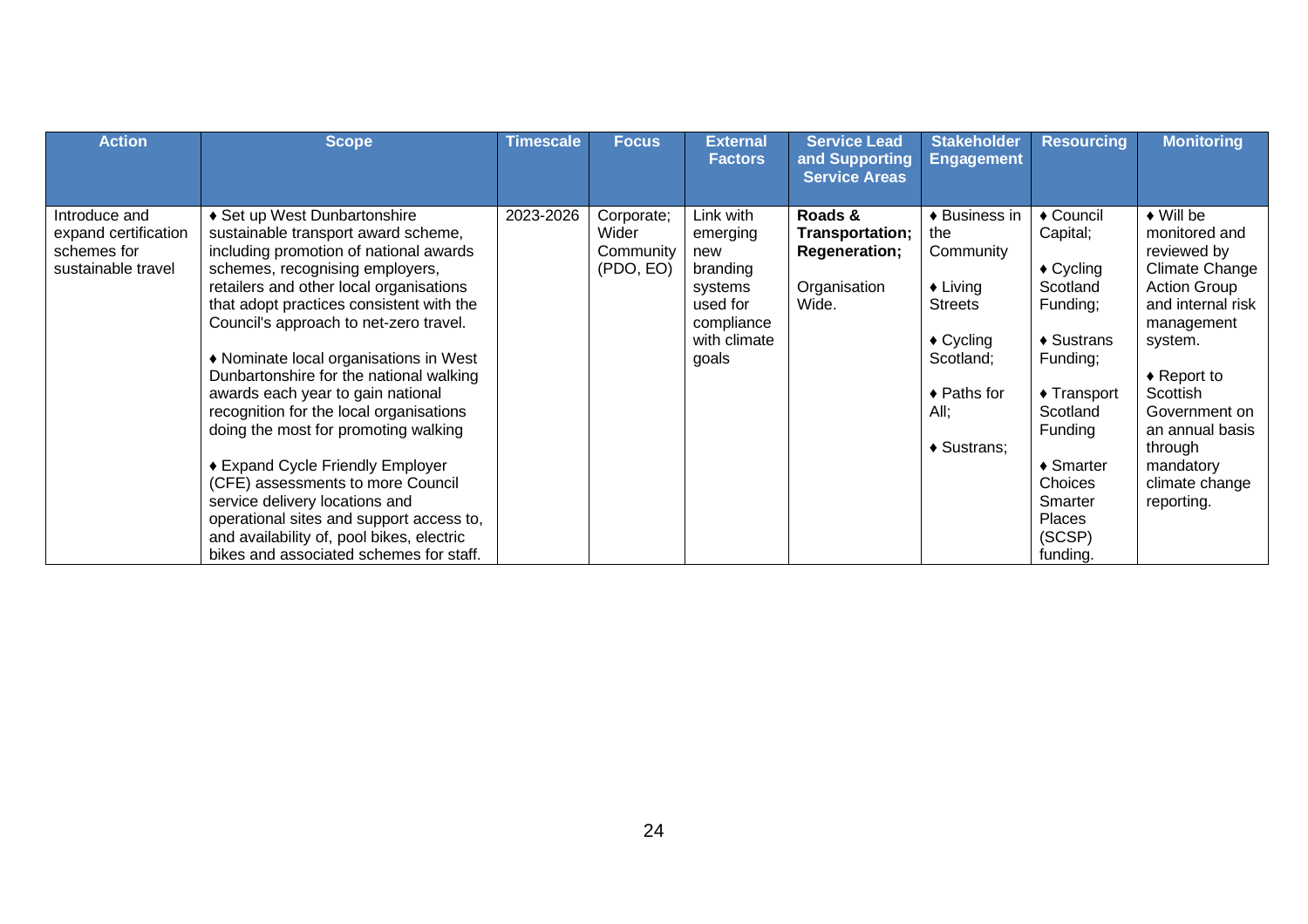| <b>Action</b>                                                              | <b>Scope</b>                                                                                                                                                                                                                                                                                                                                                                                                                                                                                                                                                                                                                                                                                                                                  | <b>Timescale</b> | <b>Focus</b>                                  | <b>External</b><br><b>Factors</b>                                                                      | <b>Service Lead</b><br>and Supporting<br><b>Service Areas</b>        | <b>Stakeholder</b><br><b>Engagement</b>                                                                                                                                     | <b>Resourcing</b>                                                                                                                                                                                                                     | <b>Monitoring</b>                                                                                                                                                                                                                                                               |
|----------------------------------------------------------------------------|-----------------------------------------------------------------------------------------------------------------------------------------------------------------------------------------------------------------------------------------------------------------------------------------------------------------------------------------------------------------------------------------------------------------------------------------------------------------------------------------------------------------------------------------------------------------------------------------------------------------------------------------------------------------------------------------------------------------------------------------------|------------------|-----------------------------------------------|--------------------------------------------------------------------------------------------------------|----------------------------------------------------------------------|-----------------------------------------------------------------------------------------------------------------------------------------------------------------------------|---------------------------------------------------------------------------------------------------------------------------------------------------------------------------------------------------------------------------------------|---------------------------------------------------------------------------------------------------------------------------------------------------------------------------------------------------------------------------------------------------------------------------------|
| Introduce and<br>expand certification<br>schemes for<br>sustainable travel | ♦ Set up West Dunbartonshire<br>sustainable transport award scheme,<br>including promotion of national awards<br>schemes, recognising employers,<br>retailers and other local organisations<br>that adopt practices consistent with the<br>Council's approach to net-zero travel.<br>♦ Nominate local organisations in West<br>Dunbartonshire for the national walking<br>awards each year to gain national<br>recognition for the local organisations<br>doing the most for promoting walking<br>◆ Expand Cycle Friendly Employer<br>(CFE) assessments to more Council<br>service delivery locations and<br>operational sites and support access to,<br>and availability of, pool bikes, electric<br>bikes and associated schemes for staff. | 2023-2026        | Corporate;<br>Wider<br>Community<br>(PDO, EO) | Link with<br>emerging<br>new<br>branding<br>systems<br>used for<br>compliance<br>with climate<br>goals | Roads &<br>Transportation;<br>Regeneration;<br>Organisation<br>Wide. | ♦ Business in<br>the<br>Community<br>$\triangle$ Living<br><b>Streets</b><br>$\triangle$ Cycling<br>Scotland;<br>$\triangle$ Paths for<br>All;<br>$\triangleleft$ Sustrans: | ◆ Council<br>Capital;<br>$\triangle$ Cycling<br>Scotland<br>Funding;<br>$\triangle$ Sustrans<br>Funding;<br>$\triangle$ Transport<br>Scotland<br>Funding<br>$\triangle$ Smarter<br>Choices<br>Smarter<br>Places<br>(SCSP)<br>funding. | $\blacklozenge$ Will be<br>monitored and<br>reviewed by<br>Climate Change<br><b>Action Group</b><br>and internal risk<br>management<br>system.<br>$\triangle$ Report to<br>Scottish<br>Government on<br>an annual basis<br>through<br>mandatory<br>climate change<br>reporting. |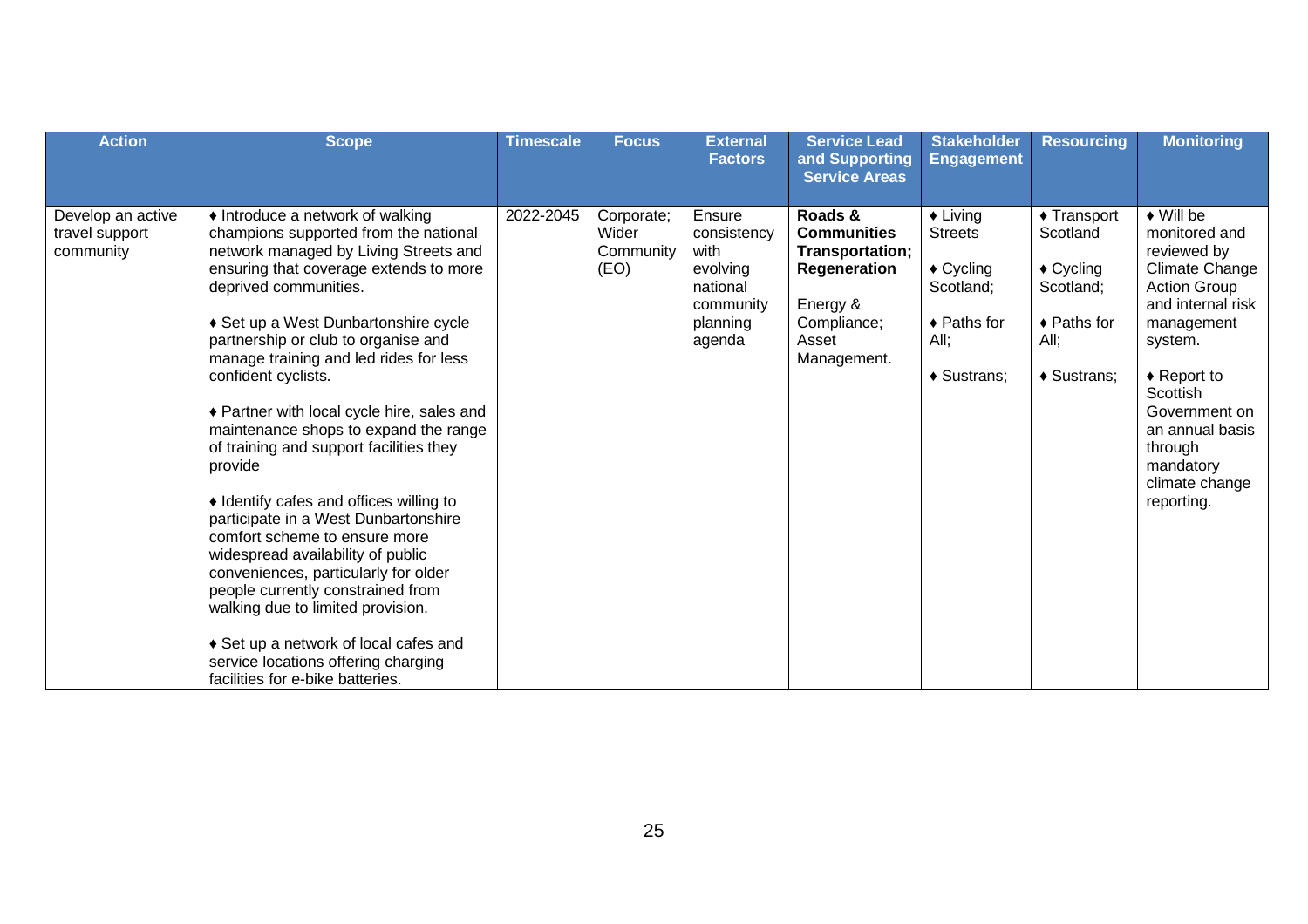| <b>Action</b>                                    | <b>Scope</b>                                                                                                                                                                                                                                                                                                                                                                                                                                                                                                                                                                                                                                                                                                                                                                                                                                                                      | <b>Timescale</b> | <b>Focus</b>                             | <b>External</b><br><b>Factors</b>                                                        | <b>Service Lead</b><br>and Supporting                                                                               | <b>Stakeholder</b><br><b>Engagement</b>                                                                        | <b>Resourcing</b>                                                                                           | <b>Monitoring</b>                                                                                                                                                                                                                                                               |
|--------------------------------------------------|-----------------------------------------------------------------------------------------------------------------------------------------------------------------------------------------------------------------------------------------------------------------------------------------------------------------------------------------------------------------------------------------------------------------------------------------------------------------------------------------------------------------------------------------------------------------------------------------------------------------------------------------------------------------------------------------------------------------------------------------------------------------------------------------------------------------------------------------------------------------------------------|------------------|------------------------------------------|------------------------------------------------------------------------------------------|---------------------------------------------------------------------------------------------------------------------|----------------------------------------------------------------------------------------------------------------|-------------------------------------------------------------------------------------------------------------|---------------------------------------------------------------------------------------------------------------------------------------------------------------------------------------------------------------------------------------------------------------------------------|
|                                                  |                                                                                                                                                                                                                                                                                                                                                                                                                                                                                                                                                                                                                                                                                                                                                                                                                                                                                   |                  |                                          |                                                                                          | <b>Service Areas</b>                                                                                                |                                                                                                                |                                                                                                             |                                                                                                                                                                                                                                                                                 |
| Develop an active<br>travel support<br>community | • Introduce a network of walking<br>champions supported from the national<br>network managed by Living Streets and<br>ensuring that coverage extends to more<br>deprived communities.<br>◆ Set up a West Dunbartonshire cycle<br>partnership or club to organise and<br>manage training and led rides for less<br>confident cyclists.<br>♦ Partner with local cycle hire, sales and<br>maintenance shops to expand the range<br>of training and support facilities they<br>provide<br>• Identify cafes and offices willing to<br>participate in a West Dunbartonshire<br>comfort scheme to ensure more<br>widespread availability of public<br>conveniences, particularly for older<br>people currently constrained from<br>walking due to limited provision.<br>♦ Set up a network of local cafes and<br>service locations offering charging<br>facilities for e-bike batteries. | 2022-2045        | Corporate;<br>Wider<br>Community<br>(EO) | Ensure<br>consistency<br>with<br>evolving<br>national<br>community<br>planning<br>agenda | Roads &<br><b>Communities</b><br>Transportation;<br>Regeneration<br>Energy &<br>Compliance;<br>Asset<br>Management. | $\triangle$ Living<br><b>Streets</b><br>$\triangle$ Cycling<br>Scotland;<br>◆ Paths for<br>All:<br>♦ Sustrans; | ◆ Transport<br>Scotland<br>$\triangle$ Cycling<br>Scotland;<br>$\triangle$ Paths for<br>All:<br>♦ Sustrans; | $\blacklozenge$ Will be<br>monitored and<br>reviewed by<br>Climate Change<br><b>Action Group</b><br>and internal risk<br>management<br>system.<br>$\triangle$ Report to<br>Scottish<br>Government on<br>an annual basis<br>through<br>mandatory<br>climate change<br>reporting. |